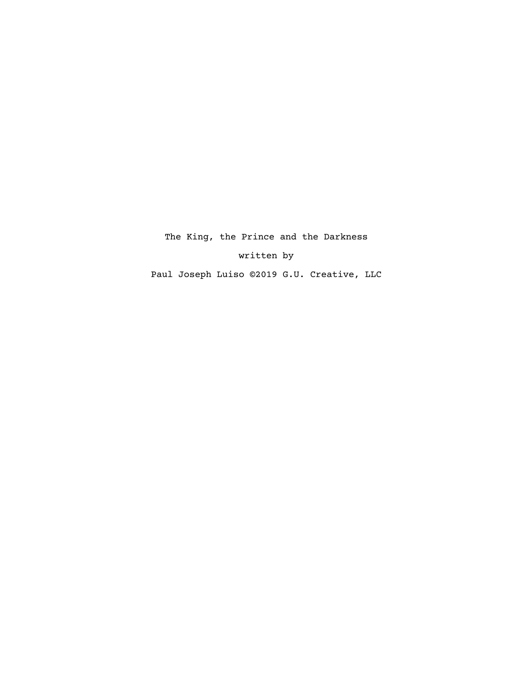The King, the Prince and the Darkness written by

Paul Joseph Luiso ©2019 G.U. Creative, LLC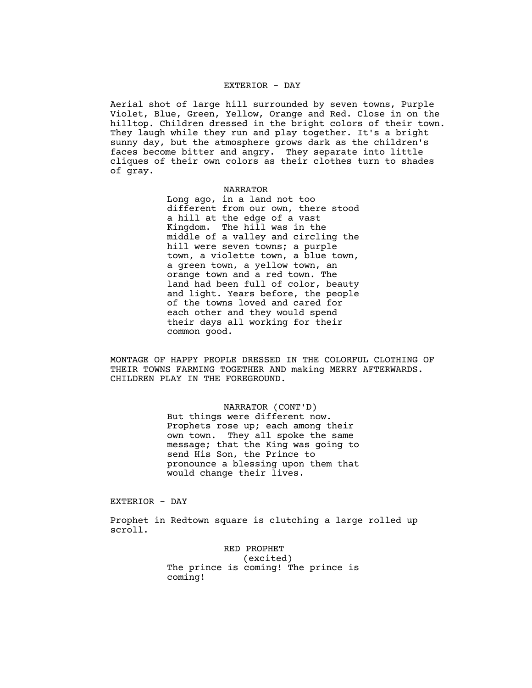### EXTERIOR - DAY

Aerial shot of large hill surrounded by seven towns, Purple Violet, Blue, Green, Yellow, Orange and Red. Close in on the hilltop. Children dressed in the bright colors of their town. They laugh while they run and play together. It's a bright sunny day, but the atmosphere grows dark as the children's faces become bitter and angry. They separate into little cliques of their own colors as their clothes turn to shades of gray.

> NARRATOR Long ago, in a land not too different from our own, there stood a hill at the edge of a vast Kingdom. The hill was in the middle of a valley and circling the hill were seven towns; a purple town, a violette town, a blue town, a green town, a yellow town, an orange town and a red town. The land had been full of color, beauty and light. Years before, the people of the towns loved and cared for each other and they would spend their days all working for their common good.

MONTAGE OF HAPPY PEOPLE DRESSED IN THE COLORFUL CLOTHING OF THEIR TOWNS FARMING TOGETHER AND making MERRY AFTERWARDS. CHILDREN PLAY IN THE FOREGROUND.

# NARRATOR (CONT'D)

But things were different now. Prophets rose up; each among their own town. They all spoke the same message; that the King was going to send His Son, the Prince to pronounce a blessing upon them that would change their lives.

# EXTERIOR - DAY

Prophet in Redtown square is clutching a large rolled up scroll.

> RED PROPHET (excited) The prince is coming! The prince is coming!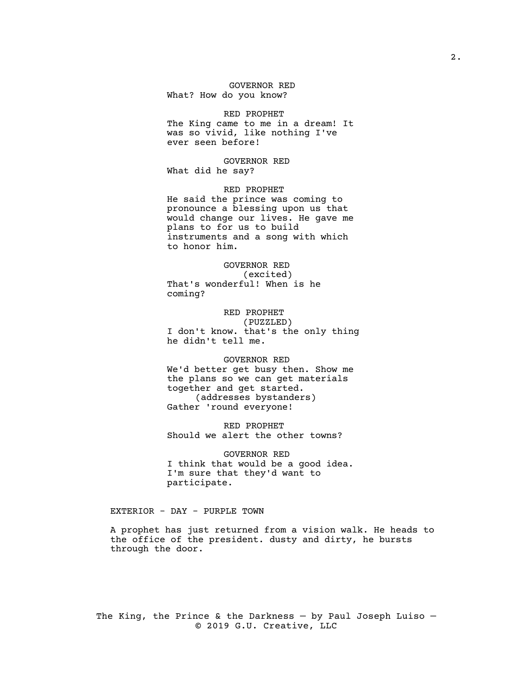### GOVERNOR RED What? How do you know?

### RED PROPHET

The King came to me in a dream! It was so vivid, like nothing I've ever seen before!

GOVERNOR RED What did he say?

RED PROPHET He said the prince was coming to pronounce a blessing upon us that would change our lives. He gave me plans to for us to build instruments and a song with which to honor him.

GOVERNOR RED (excited) That's wonderful! When is he coming?

RED PROPHET (PUZZLED) I don't know. that's the only thing he didn't tell me.

GOVERNOR RED We'd better get busy then. Show me the plans so we can get materials together and get started. (addresses bystanders) Gather 'round everyone!

RED PROPHET Should we alert the other towns?

GOVERNOR RED I think that would be a good idea. I'm sure that they'd want to participate.

EXTERIOR - DAY - PURPLE TOWN

A prophet has just returned from a vision walk. He heads to the office of the president. dusty and dirty, he bursts through the door.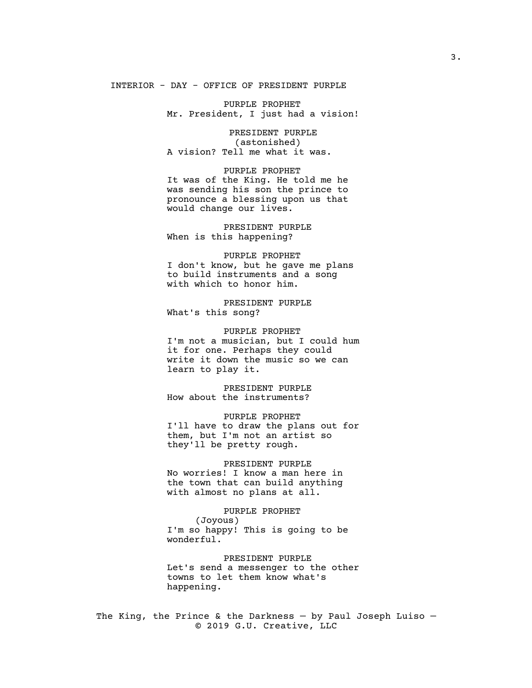# INTERIOR - DAY - OFFICE OF PRESIDENT PURPLE

PURPLE PROPHET Mr. President, I just had a vision!

PRESIDENT PURPLE (astonished) A vision? Tell me what it was.

PURPLE PROPHET It was of the King. He told me he was sending his son the prince to pronounce a blessing upon us that would change our lives.

PRESIDENT PURPLE When is this happening?

PURPLE PROPHET I don't know, but he gave me plans to build instruments and a song with which to honor him.

PRESIDENT PURPLE What's this song?

PURPLE PROPHET I'm not a musician, but I could hum it for one. Perhaps they could write it down the music so we can learn to play it.

PRESIDENT PURPLE How about the instruments?

PURPLE PROPHET I'll have to draw the plans out for them, but I'm not an artist so they'll be pretty rough.

PRESIDENT PURPLE No worries! I know a man here in the town that can build anything with almost no plans at all.

PURPLE PROPHET (Joyous) I'm so happy! This is going to be wonderful.

PRESIDENT PURPLE Let's send a messenger to the other towns to let them know what's happening.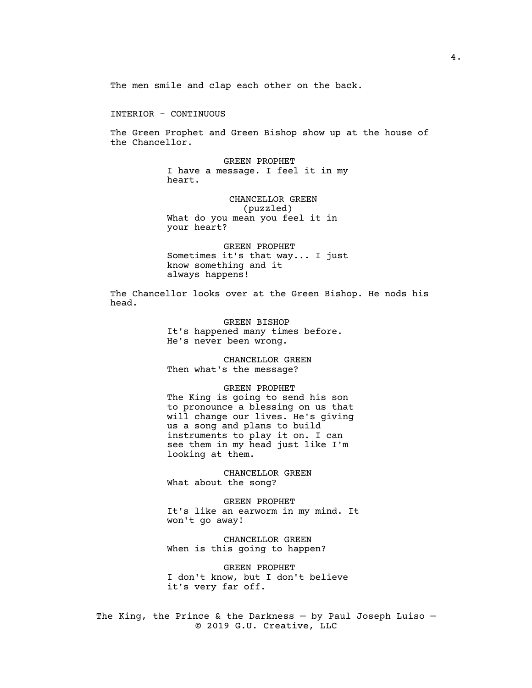The men smile and clap each other on the back.

INTERIOR - CONTINUOUS

The Green Prophet and Green Bishop show up at the house of the Chancellor.

> GREEN PROPHET I have a message. I feel it in my heart.

CHANCELLOR GREEN (puzzled) What do you mean you feel it in your heart?

GREEN PROPHET Sometimes it's that way... I just know something and it always happens!

The Chancellor looks over at the Green Bishop. He nods his head.

> GREEN BISHOP It's happened many times before. He's never been wrong.

CHANCELLOR GREEN Then what's the message?

#### GREEN PROPHET

The King is going to send his son to pronounce a blessing on us that will change our lives. He's giving us a song and plans to build instruments to play it on. I can see them in my head just like I'm looking at them.

CHANCELLOR GREEN What about the song?

GREEN PROPHET It's like an earworm in my mind. It won't go away!

CHANCELLOR GREEN When is this going to happen?

GREEN PROPHET I don't know, but I don't believe it's very far off.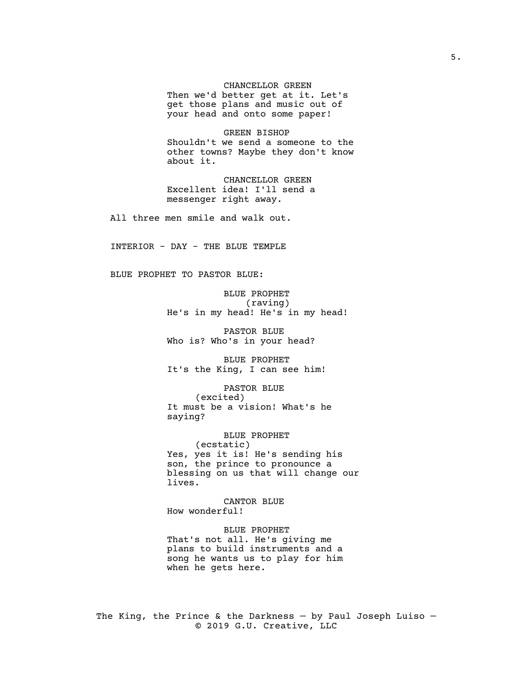CHANCELLOR GREEN

Then we'd better get at it. Let's get those plans and music out of your head and onto some paper!

GREEN BISHOP Shouldn't we send a someone to the other towns? Maybe they don't know about it.

CHANCELLOR GREEN Excellent idea! I'll send a messenger right away.

All three men smile and walk out.

INTERIOR - DAY - THE BLUE TEMPLE

BLUE PROPHET TO PASTOR BLUE:

BLUE PROPHET (raving) He's in my head! He's in my head!

PASTOR BLUE Who is? Who's in your head?

BLUE PROPHET It's the King, I can see him!

PASTOR BLUE (excited) It must be a vision! What's he saying?

BLUE PROPHET (ecstatic) Yes, yes it is! He's sending his son, the prince to pronounce a blessing on us that will change our lives.

CANTOR BLUE How wonderful!

BLUE PROPHET That's not all. He's giving me plans to build instruments and a song he wants us to play for him when he gets here.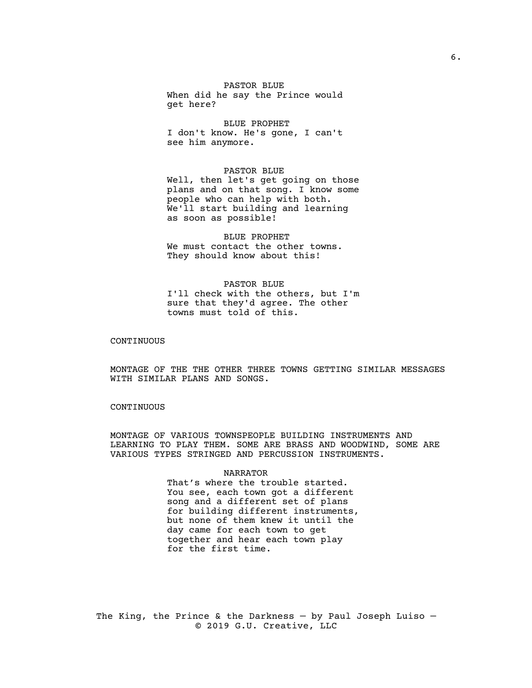PASTOR BLUE When did he say the Prince would get here?

BLUE PROPHET I don't know. He's gone, I can't see him anymore.

#### PASTOR BLUE

Well, then let's get going on those plans and on that song. I know some people who can help with both. We'll start building and learning as soon as possible!

BLUE PROPHET We must contact the other towns. They should know about this!

PASTOR BLUE I'll check with the others, but I'm sure that they'd agree. The other towns must told of this.

### CONTINUOUS

MONTAGE OF THE THE OTHER THREE TOWNS GETTING SIMILAR MESSAGES WITH SIMILAR PLANS AND SONGS.

# CONTINUOUS

MONTAGE OF VARIOUS TOWNSPEOPLE BUILDING INSTRUMENTS AND LEARNING TO PLAY THEM. SOME ARE BRASS AND WOODWIND, SOME ARE VARIOUS TYPES STRINGED AND PERCUSSION INSTRUMENTS.

#### NARRATOR

That's where the trouble started. You see, each town got a different song and a different set of plans for building different instruments, but none of them knew it until the day came for each town to get together and hear each town play for the first time.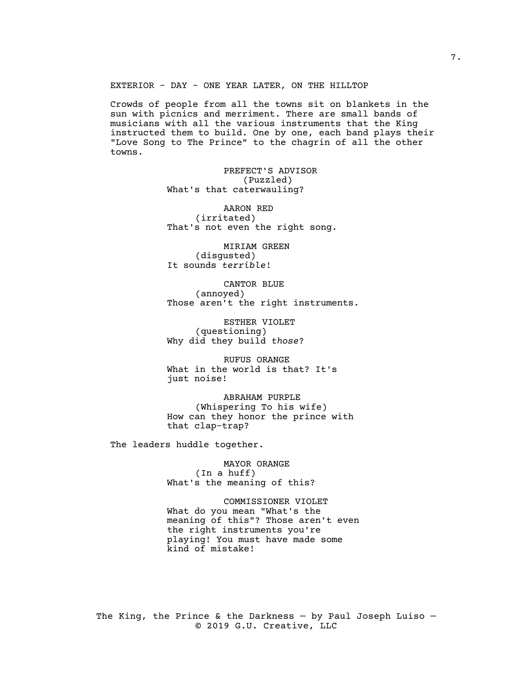EXTERIOR - DAY - ONE YEAR LATER, ON THE HILLTOP

Crowds of people from all the towns sit on blankets in the sun with picnics and merriment. There are small bands of musicians with all the various instruments that the King instructed them to build. One by one, each band plays their "Love Song to The Prince" to the chagrin of all the other towns.

> PREFECT'S ADVISOR (Puzzled) What's that caterwauling?

AARON RED (irritated) That's not even the right song.

MIRIAM GREEN (disgusted) It sounds *terrible*!

CANTOR BLUE (annoyed) Those aren't the right instruments.

ESTHER VIOLET (questioning) Why did they build *those*?

RUFUS ORANGE What in the world is that? It's just noise!

ABRAHAM PURPLE (Whispering To his wife) How can they honor the prince with that clap-trap?

The leaders huddle together.

MAYOR ORANGE (In a huff) What's the meaning of this?

COMMISSIONER VIOLET What do you mean "What's the meaning of this"? Those aren't even the right instruments you're playing! You must have made some kind of mistake!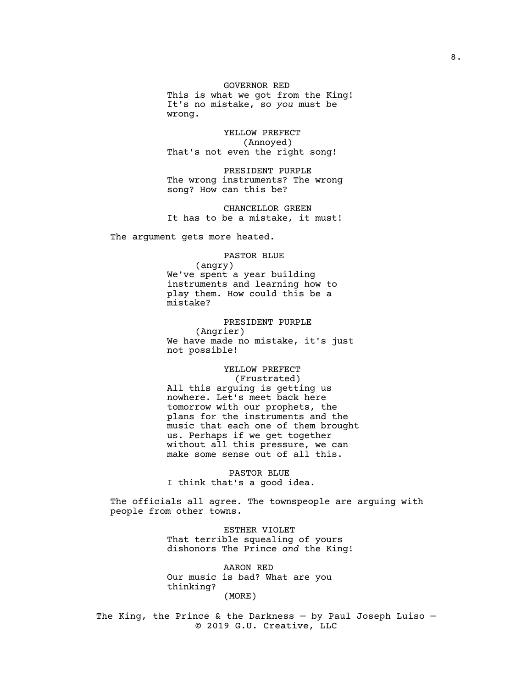GOVERNOR RED

This is what we got from the King! It's no mistake, so *you* must be wrong.

YELLOW PREFECT (Annoyed) That's not even the right song!

PRESIDENT PURPLE The wrong instruments? The wrong song? How can this be?

CHANCELLOR GREEN It has to be a mistake, it must!

The argument gets more heated.

PASTOR BLUE

(angry) We've spent a year building instruments and learning how to play them. How could this be a mistake?

PRESIDENT PURPLE (Angrier) We have made no mistake, it's just not possible!

YELLOW PREFECT (Frustrated) All this arguing is getting us nowhere. Let's meet back here tomorrow with our prophets, the plans for the instruments and the music that each one of them brought us. Perhaps if we get together without all this pressure, we can make some sense out of all this.

PASTOR BLUE I think that's a good idea.

The officials all agree. The townspeople are arguing with people from other towns.

> ESTHER VIOLET That terrible squealing of yours dishonors The Prince *and* the King!

AARON RED Our music is bad? What are you thinking? (MORE)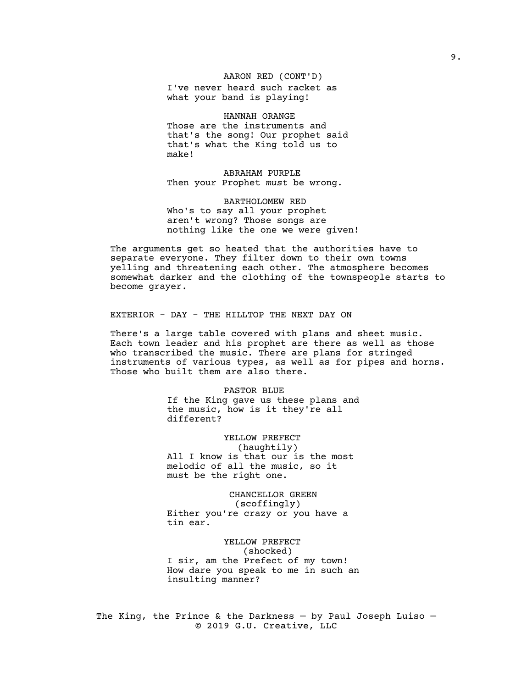AARON RED (CONT'D)

I've never heard such racket as what your band is playing!

HANNAH ORANGE Those are the instruments and that's the song! Our prophet said that's what the King told us to make!

ABRAHAM PURPLE Then your Prophet *must* be wrong.

BARTHOLOMEW RED Who's to say all your prophet aren't wrong? Those songs are nothing like the one we were given!

The arguments get so heated that the authorities have to separate everyone. They filter down to their own towns yelling and threatening each other. The atmosphere becomes somewhat darker and the clothing of the townspeople starts to become grayer.

EXTERIOR - DAY - THE HILLTOP THE NEXT DAY ON

There's a large table covered with plans and sheet music. Each town leader and his prophet are there as well as those who transcribed the music. There are plans for stringed instruments of various types, as well as for pipes and horns. Those who built them are also there.

> PASTOR BLUE If the King gave us these plans and the music, how is it they're all different?

YELLOW PREFECT (haughtily) All I know is that our is the most melodic of all the music, so it must be the right one.

CHANCELLOR GREEN (scoffingly) Either you're crazy or you have a tin ear.

YELLOW PREFECT (shocked) I sir, am the Prefect of my town! How dare you speak to me in such an insulting manner?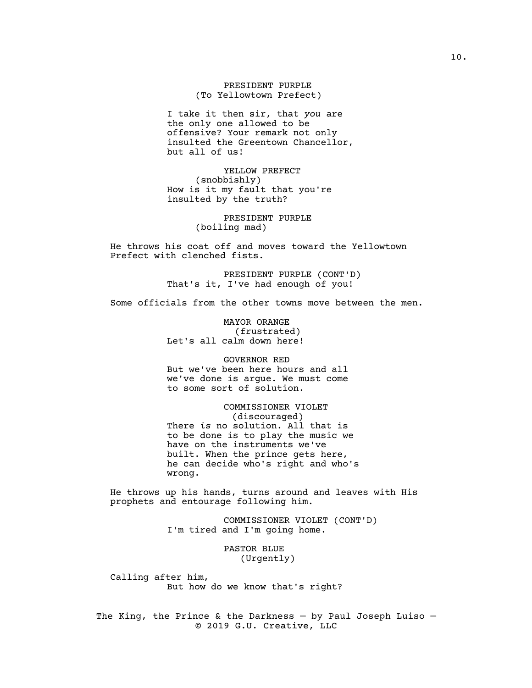PRESIDENT PURPLE (To Yellowtown Prefect)

I take it then sir, that *you* are the only one allowed to be offensive? Your remark not only insulted the Greentown Chancellor, but all of us!

YELLOW PREFECT (snobbishly) How is it my fault that you're insulted by the truth?

> PRESIDENT PURPLE (boiling mad)

He throws his coat off and moves toward the Yellowtown Prefect with clenched fists.

> PRESIDENT PURPLE (CONT'D) That's it, I've had enough of you!

Some officials from the other towns move between the men.

MAYOR ORANGE (frustrated) Let's all calm down here!

GOVERNOR RED But we've been here hours and all we've done is argue. We must come to some sort of solution.

# COMMISSIONER VIOLET

(discouraged) There *is* no solution. All that is to be done is to play the music we have on the instruments we've built. When the prince gets here, he can decide who's right and who's wrong.

He throws up his hands, turns around and leaves with His prophets and entourage following him.

> COMMISSIONER VIOLET (CONT'D) I'm tired and I'm going home.

> > PASTOR BLUE (Urgently)

Calling after him, But how do we know that's right?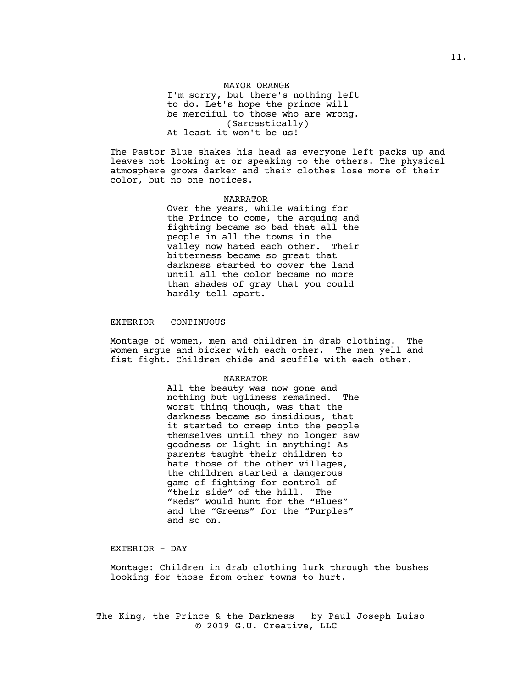### MAYOR ORANGE

I'm sorry, but there's nothing left to do. Let's hope the prince will be merciful to those who are wrong. (Sarcastically) At least it won't be us!

The Pastor Blue shakes his head as everyone left packs up and leaves not looking at or speaking to the others. The physical atmosphere grows darker and their clothes lose more of their color, but no one notices.

#### NARRATOR

Over the years, while waiting for the Prince to come, the arguing and fighting became so bad that all the people in all the towns in the valley now hated each other. Their bitterness became so great that darkness started to cover the land until all the color became no more than shades of gray that you could hardly tell apart.

### EXTERIOR - CONTINUOUS

Montage of women, men and children in drab clothing. The women argue and bicker with each other. The men yell and fist fight. Children chide and scuffle with each other.

#### NARRATOR

All the beauty was now gone and nothing but ugliness remained. The worst thing though, was that the darkness became so insidious, that it started to creep into the people themselves until they no longer saw goodness or light in anything! As parents taught their children to hate those of the other villages, the children started a dangerous game of fighting for control of "their side" of the hill. The "Reds" would hunt for the "Blues" and the "Greens" for the "Purples" and so on.

EXTERIOR - DAY

Montage: Children in drab clothing lurk through the bushes looking for those from other towns to hurt.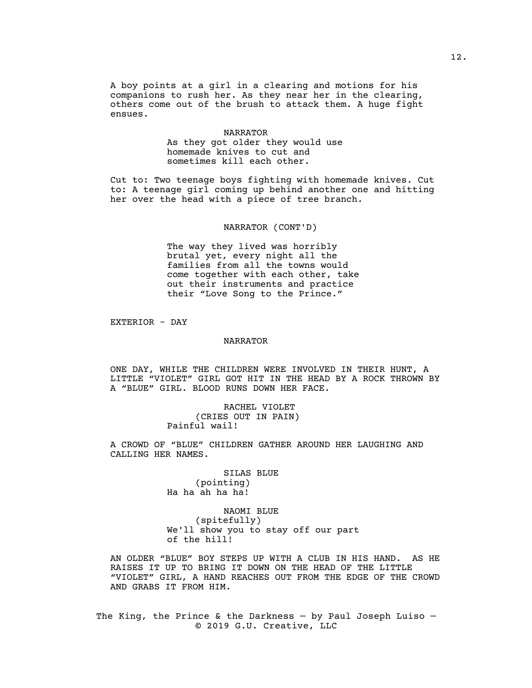A boy points at a girl in a clearing and motions for his companions to rush her. As they near her in the clearing, others come out of the brush to attack them. A huge fight ensues.

#### NARRATOR

As they got older they would use homemade knives to cut and sometimes kill each other.

Cut to: Two teenage boys fighting with homemade knives. Cut to: A teenage girl coming up behind another one and hitting her over the head with a piece of tree branch.

#### NARRATOR (CONT'D)

The way they lived was horribly brutal yet, every night all the families from all the towns would come together with each other, take out their instruments and practice their "Love Song to the Prince."

EXTERIOR - DAY

### NARRATOR

ONE DAY, WHILE THE CHILDREN WERE INVOLVED IN THEIR HUNT, A LITTLE "VIOLET" GIRL GOT HIT IN THE HEAD BY A ROCK THROWN BY A "BLUE" GIRL. BLOOD RUNS DOWN HER FACE.

> RACHEL VIOLET (CRIES OUT IN PAIN) Painful wail!

A CROWD OF "BLUE" CHILDREN GATHER AROUND HER LAUGHING AND CALLING HER NAMES.

> SILAS BLUE (pointing) Ha ha ah ha ha!

NAOMI BLUE (spitefully) We'll show you to stay off our part of the hill!

AN OLDER "BLUE" BOY STEPS UP WITH A CLUB IN HIS HAND. AS HE RAISES IT UP TO BRING IT DOWN ON THE HEAD OF THE LITTLE "VIOLET" GIRL, A HAND REACHES OUT FROM THE EDGE OF THE CROWD AND GRABS IT FROM HIM.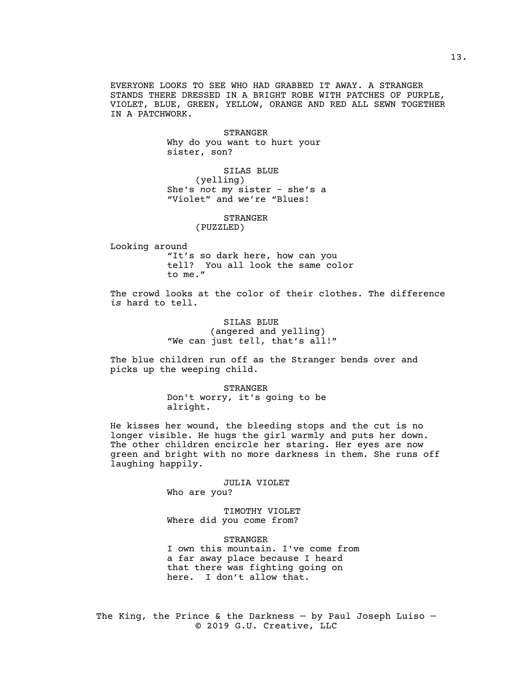EVERYONE LOOKS TO SEE WHO HAD GRABBED IT AWAY. A STRANGER STANDS THERE DRESSED IN A BRIGHT ROBE WITH PATCHES OF PURPLE, VIOLET, BLUE, GREEN, YELLOW, ORANGE AND RED ALL SEWN TOGETHER IN A PATCHWORK.

> STRANGER Why do you want to hurt your sister, son?

SILAS BLUE (yelling) She's *not* my sister - she's a "Violet" and we're "Blues!

STRANGER

(PUZZLED)

Looking around "It's so dark here, how can you tell? You all look the same color to me."

The crowd looks at the color of their clothes. The difference *is* hard to tell.

> SILAS BLUE (angered and yelling) "We can just *tell*, that's all!"

The blue children run off as the Stranger bends over and picks up the weeping child.

> STRANGER Don't worry, it's going to be alright.

He kisses her wound, the bleeding stops and the cut is no longer visible. He hugs the girl warmly and puts her down. The other children encircle her staring. Her eyes are now green and bright with no more darkness in them. She runs off laughing happily.

### JULIA VIOLET

Who are you?

TIMOTHY VIOLET Where did you come from?

STRANGER I own this mountain. I've come from a far away place because I heard that there was fighting going on here. I don't allow that.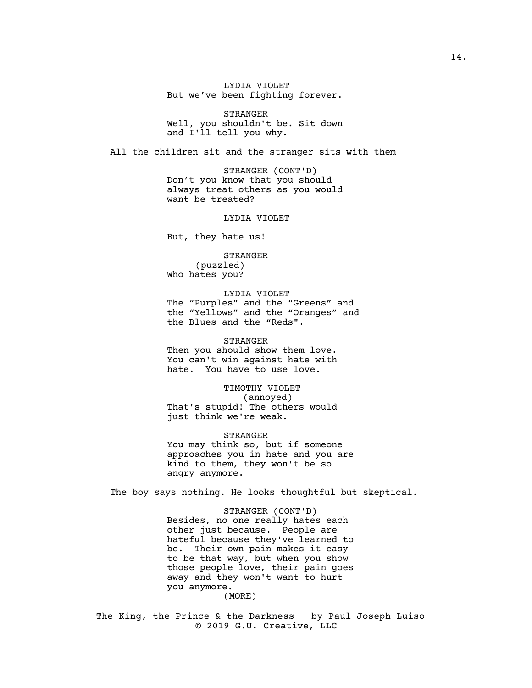LYDIA VIOLET But we've been fighting forever.

STRANGER Well, you shouldn't be. Sit down and I'll tell you why.

All the children sit and the stranger sits with them

STRANGER (CONT'D) Don't you know that you should always treat others as you would want be treated?

#### LYDIA VIOLET

But, they hate us!

STRANGER (puzzled) Who hates you?

LYDIA VIOLET The "Purples" and the "Greens" and the "Yellows" and the "Oranges" and the Blues and the "Reds".

STRANGER Then you should show them love. You can't win against hate with hate. You have to use love.

TIMOTHY VIOLET (annoyed) That's stupid! The others would just think we're weak.

STRANGER You may think so, but if someone approaches you in hate and you are kind to them, they won't be so angry anymore.

The boy says nothing. He looks thoughtful but skeptical.

STRANGER (CONT'D) Besides, no one really hates each other just because. People are hateful because they've learned to be. Their own pain makes it easy to be that way, but when you show those people love, their pain goes away and they won't want to hurt you anymore.

(MORE)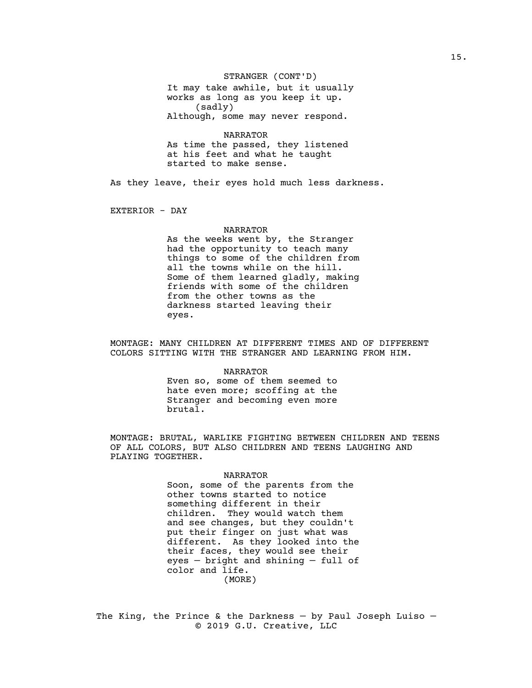STRANGER (CONT'D)

It may take awhile, but it usually works as long as you keep it up. (sadly) Although, some may never respond.

NARRATOR As time the passed, they listened at his feet and what he taught started to make sense.

As they leave, their eyes hold much less darkness.

EXTERIOR - DAY

### NARRATOR

As the weeks went by, the Stranger had the opportunity to teach many things to some of the children from all the towns while on the hill. Some of them learned gladly, making friends with some of the children from the other towns as the darkness started leaving their eyes.

MONTAGE: MANY CHILDREN AT DIFFERENT TIMES AND OF DIFFERENT COLORS SITTING WITH THE STRANGER AND LEARNING FROM HIM.

#### NARRATOR

Even so, some of them seemed to hate even more; scoffing at the Stranger and becoming even more brutal.

MONTAGE: BRUTAL, WARLIKE FIGHTING BETWEEN CHILDREN AND TEENS OF ALL COLORS, BUT ALSO CHILDREN AND TEENS LAUGHING AND PLAYING TOGETHER.

#### NARRATOR

Soon, some of the parents from the other towns started to notice something different in their children. They would watch them and see changes, but they couldn't put their finger on just what was different. As they looked into the their faces, they would see their eyes — bright and shining — full of color and life. (MORE)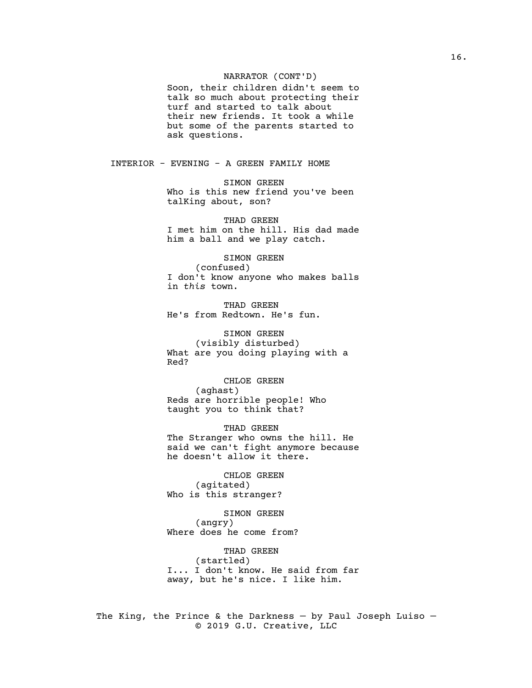### NARRATOR (CONT'D)

Soon, their children didn't seem to talk so much about protecting their turf and started to talk about their new friends. It took a while but some of the parents started to ask questions.

INTERIOR - EVENING - A GREEN FAMILY HOME

SIMON GREEN Who is this new friend you've been talKing about, son?

THAD GREEN I met him on the hill. His dad made him a ball and we play catch.

SIMON GREEN (confused) I don't know anyone who makes balls in *this* town.

THAD GREEN He's from Redtown. He's fun.

SIMON GREEN (visibly disturbed) What are you doing playing with a Red?

CHLOE GREEN (aghast) Reds are horrible people! Who taught you to think that?

THAD GREEN The Stranger who owns the hill. He said we can't fight anymore because he doesn't allow it there.

CHLOE GREEN (agitated) Who is this stranger?

SIMON GREEN (angry) Where does he come from?

THAD GREEN (startled) I... I don't know. He said from far away, but he's nice. I like him.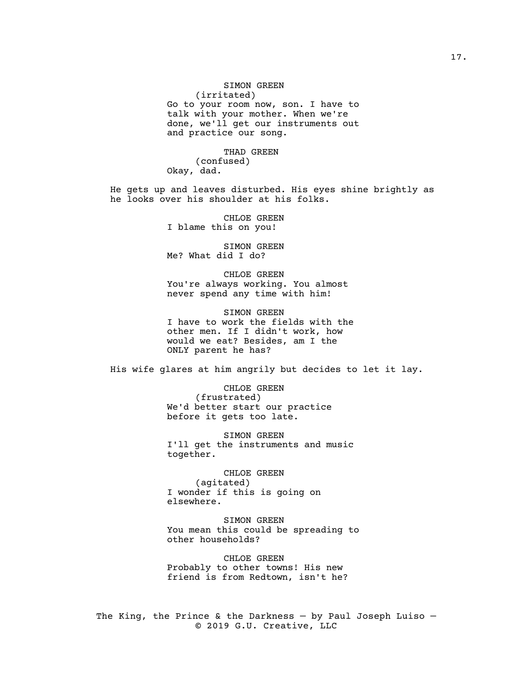SIMON GREEN (irritated) Go to your room now, son. I have to talk with your mother. When we're done, we'll get our instruments out and practice our song.

THAD GREEN (confused) Okay, dad.

He gets up and leaves disturbed. His eyes shine brightly as he looks over his shoulder at his folks.

> CHLOE GREEN I blame this on you!

> SIMON GREEN Me? What did I do?

CHLOE GREEN You're always working. You almost never spend any time with him!

SIMON GREEN I have to work the fields with the other men. If I didn't work, how would we eat? Besides, am I the ONLY parent he has?

His wife glares at him angrily but decides to let it lay.

CHLOE GREEN (frustrated) We'd better start our practice before it gets too late.

SIMON GREEN I'll get the instruments and music together.

CHLOE GREEN (agitated) I wonder if this is going on elsewhere.

SIMON GREEN You mean this could be spreading to other households?

CHLOE GREEN Probably to other towns! His new friend is from Redtown, isn't he?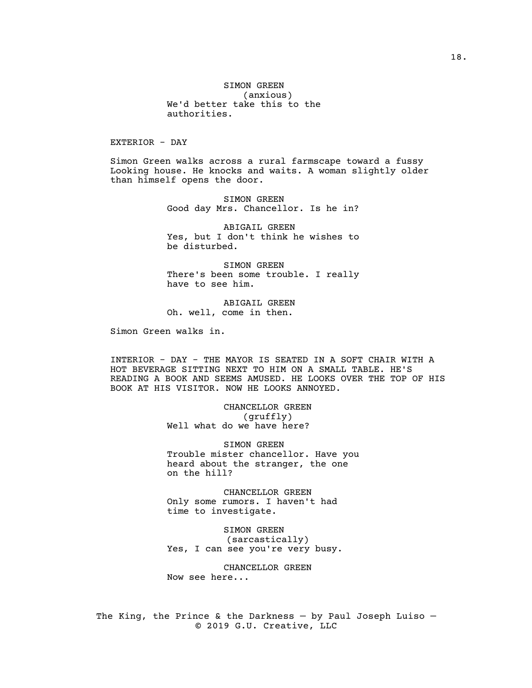SIMON GREEN (anxious) We'd better take this to the authorities.

EXTERIOR - DAY

Simon Green walks across a rural farmscape toward a fussy Looking house. He knocks and waits. A woman slightly older than himself opens the door.

> SIMON GREEN Good day Mrs. Chancellor. Is he in?

> ABIGAIL GREEN Yes, but I don't think he wishes to be disturbed.

> SIMON GREEN There's been some trouble. I really have to see him.

ABIGAIL GREEN Oh. well, come in then.

Simon Green walks in.

INTERIOR - DAY - THE MAYOR IS SEATED IN A SOFT CHAIR WITH A HOT BEVERAGE SITTING NEXT TO HIM ON A SMALL TABLE. HE'S READING A BOOK AND SEEMS AMUSED. HE LOOKS OVER THE TOP OF HIS BOOK AT HIS VISITOR. NOW HE LOOKS ANNOYED.

> CHANCELLOR GREEN (gruffly) Well what do we have here?

SIMON GREEN Trouble mister chancellor. Have you heard about the stranger, the one on the hill?

CHANCELLOR GREEN Only some rumors. I haven't had time to investigate.

SIMON GREEN (sarcastically) Yes, I can see you're very busy.

CHANCELLOR GREEN Now see here...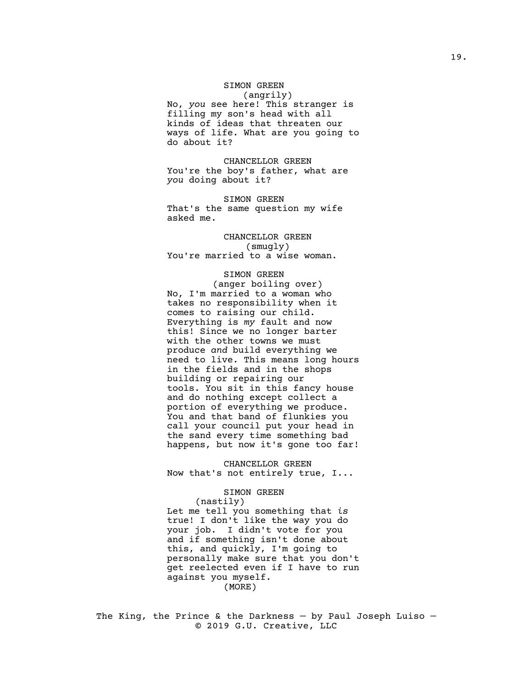### SIMON GREEN (angrily)

No, *you* see here! This stranger is filling my son's head with all kinds of ideas that threaten our ways of life. What are you going to do about it?

CHANCELLOR GREEN You're the boy's father, what are *you* doing about it?

SIMON GREEN That's the same question my wife asked me.

# CHANCELLOR GREEN (smugly) You're married to a wise woman.

# SIMON GREEN

(anger boiling over) No, I'm married to a woman who takes no responsibility when it comes to raising our child. Everything is *my* fault and now this! Since we no longer barter with the other towns we must produce *and* build everything we need to live. This means long hours in the fields and in the shops building or repairing our tools. You sit in this fancy house and do nothing except collect a portion of everything we produce. You and that band of flunkies you call your council put your head in the sand every time something bad happens, but now it's gone too far!

CHANCELLOR GREEN Now that's not entirely true, I...

# SIMON GREEN

(nastily) Let me tell you something that *is* true! I don't like the way you do your job. I didn't vote for you and if something isn't done about this, and quickly, I'm going to personally make sure that you don't get reelected even if I have to run against you myself. (MORE)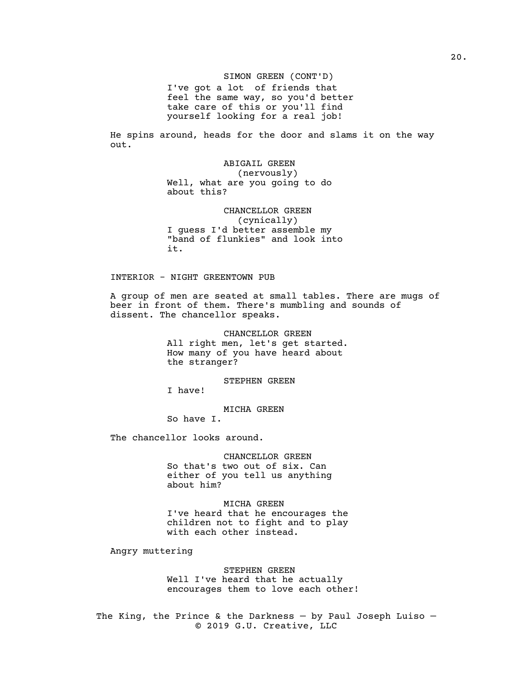SIMON GREEN (CONT'D) I've got a lot of friends that feel the same way, so you'd better take care of this or you'll find yourself looking for a real job!

He spins around, heads for the door and slams it on the way out.

> ABIGAIL GREEN (nervously) Well, what are you going to do about this?

CHANCELLOR GREEN (cynically) I guess I'd better assemble my "band of flunkies" and look into it.

INTERIOR - NIGHT GREENTOWN PUB

A group of men are seated at small tables. There are mugs of beer in front of them. There's mumbling and sounds of dissent. The chancellor speaks.

> CHANCELLOR GREEN All right men, let's get started. How many of you have heard about the stranger?

> > STEPHEN GREEN

I have!

MICHA GREEN

So have I.

The chancellor looks around.

CHANCELLOR GREEN So that's two out of six. Can either of you tell us anything about him?

MICHA GREEN I've heard that he encourages the children not to fight and to play with each other instead.

Angry muttering

STEPHEN GREEN Well I've heard that he actually encourages them to love each other!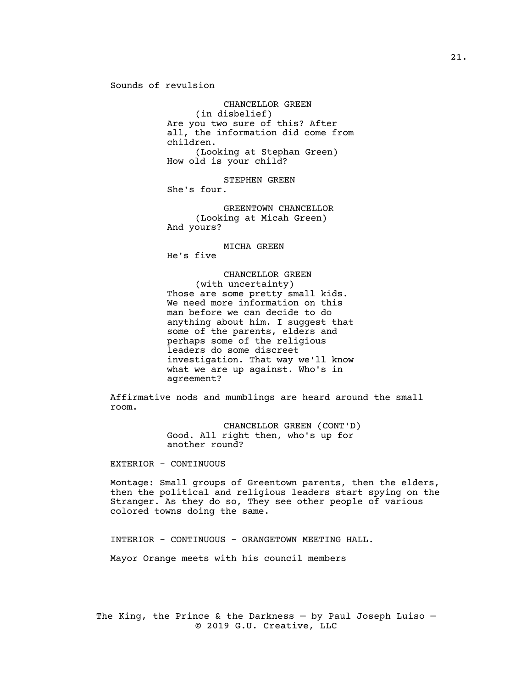Sounds of revulsion

CHANCELLOR GREEN (in disbelief) Are you two sure of this? After all, the information did come from children. (Looking at Stephan Green) How old is your child?

STEPHEN GREEN She's four.

GREENTOWN CHANCELLOR (Looking at Micah Green) And yours?

MICHA GREEN

He's five

CHANCELLOR GREEN (with uncertainty) Those are some pretty small kids. We need more information on this man before we can decide to do anything about him. I suggest that some of the parents, elders and perhaps some of the religious leaders do some discreet investigation. That way we'll know what we are up against. Who's in agreement?

Affirmative nods and mumblings are heard around the small room.

> CHANCELLOR GREEN (CONT'D) Good. All right then, who's up for another round?

EXTERIOR - CONTINUOUS

Montage: Small groups of Greentown parents, then the elders, then the political and religious leaders start spying on the Stranger. As they do so, They see other people of various colored towns doing the same.

INTERIOR - CONTINUOUS - ORANGETOWN MEETING HALL.

Mayor Orange meets with his council members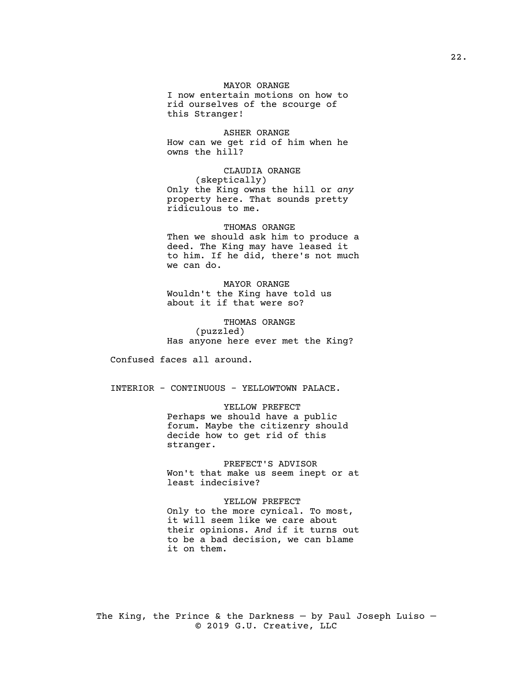# MAYOR ORANGE

I now entertain motions on how to rid ourselves of the scourge of this Stranger!

ASHER ORANGE How can we get rid of him when he owns the hill?

CLAUDIA ORANGE (skeptically) Only the King owns the hill or *any* property here. That sounds pretty ridiculous to me.

### THOMAS ORANGE

Then we should ask him to produce a deed. The King may have leased it to him. If he did, there's not much we can do.

MAYOR ORANGE Wouldn't the King have told us about it if that were so?

THOMAS ORANGE (puzzled) Has anyone here ever met the King?

Confused faces all around.

INTERIOR - CONTINUOUS - YELLOWTOWN PALACE.

YELLOW PREFECT Perhaps we should have a public forum. Maybe the citizenry should decide how to get rid of this stranger.

PREFECT'S ADVISOR Won't that make us seem inept or at least indecisive?

YELLOW PREFECT Only to the more cynical. To most, it will seem like we care about their opinions. *And* if it turns out to be a bad decision, we can blame it on them.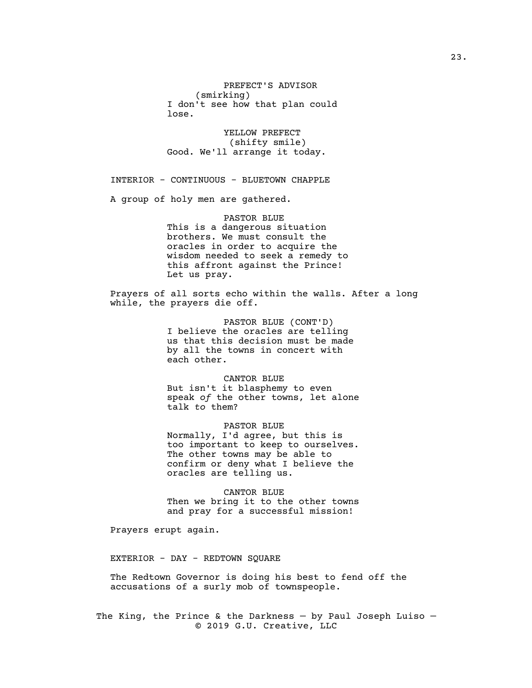PREFECT'S ADVISOR (smirking) I don't see how that plan could lose.

YELLOW PREFECT (shifty smile) Good. We'll arrange it today.

INTERIOR - CONTINUOUS - BLUETOWN CHAPPLE

A group of holy men are gathered.

PASTOR BLUE This is a dangerous situation brothers. We must consult the oracles in order to acquire the wisdom needed to seek a remedy to this affront against the Prince! Let us pray.

Prayers of all sorts echo within the walls. After a long while, the prayers die off.

> PASTOR BLUE (CONT'D) I believe the oracles are telling us that this decision must be made by all the towns in concert with each other.

CANTOR BLUE But isn't it blasphemy to even speak *of* the other towns, let alone talk *to* them?

PASTOR BLUE Normally, I'd agree, but this is too important to keep to ourselves. The other towns may be able to confirm or deny what I believe the oracles are telling us.

CANTOR BLUE Then we bring it to the other towns and pray for a successful mission!

Prayers erupt again.

EXTERIOR - DAY - REDTOWN SQUARE

The Redtown Governor is doing his best to fend off the accusations of a surly mob of townspeople.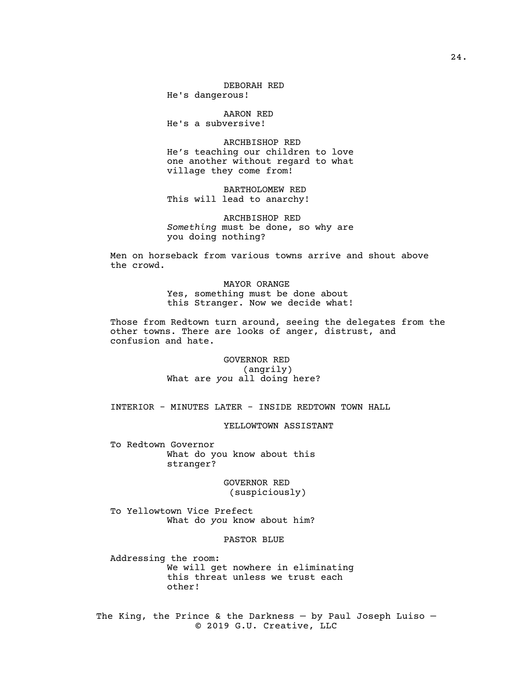DEBORAH RED He's dangerous!

AARON RED He's a subversive!

ARCHBISHOP RED He's teaching our children to love one another without regard to what village they come from!

BARTHOLOMEW RED This will lead to anarchy!

ARCHBISHOP RED *Something* must be done, so why are you doing nothing?

Men on horseback from various towns arrive and shout above the crowd.

> MAYOR ORANGE Yes, something must be done about this Stranger. Now we decide what!

Those from Redtown turn around, seeing the delegates from the other towns. There are looks of anger, distrust, and confusion and hate.

> GOVERNOR RED (angrily) What are *you* all doing here?

INTERIOR - MINUTES LATER - INSIDE REDTOWN TOWN HALL

YELLOWTOWN ASSISTANT

To Redtown Governor What do you know about this stranger?

> GOVERNOR RED (suspiciously)

To Yellowtown Vice Prefect What do *you* know about him?

### PASTOR BLUE

Addressing the room: We will get nowhere in eliminating this threat unless we trust each other!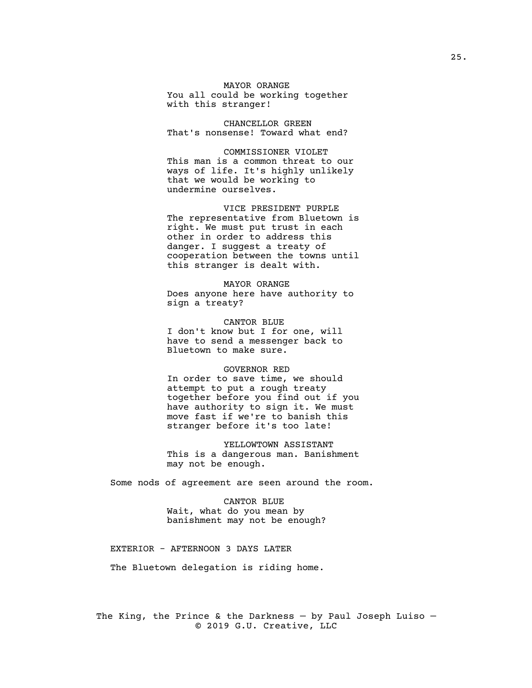MAYOR ORANGE You all could be working together with this stranger!

CHANCELLOR GREEN That's nonsense! Toward what end?

COMMISSIONER VIOLET This man is a common threat to our ways of life. It's highly unlikely that we would be working to undermine ourselves.

VICE PRESIDENT PURPLE The representative from Bluetown is right. We must put trust in each other in order to address this danger. I suggest a treaty of cooperation between the towns until this stranger is dealt with.

MAYOR ORANGE Does anyone here have authority to sign a treaty?

CANTOR BLUE I don't know but I for one, will have to send a messenger back to Bluetown to make sure.

#### GOVERNOR RED

In order to save time, we should attempt to put a rough treaty together before you find out if you have authority to sign it. We must move fast if we're to banish this stranger before it's too late!

YELLOWTOWN ASSISTANT This is a dangerous man. Banishment may not be enough.

Some nods of agreement are seen around the room.

CANTOR BLUE Wait, what do you mean by banishment may not be enough?

EXTERIOR - AFTERNOON 3 DAYS LATER

The Bluetown delegation is riding home.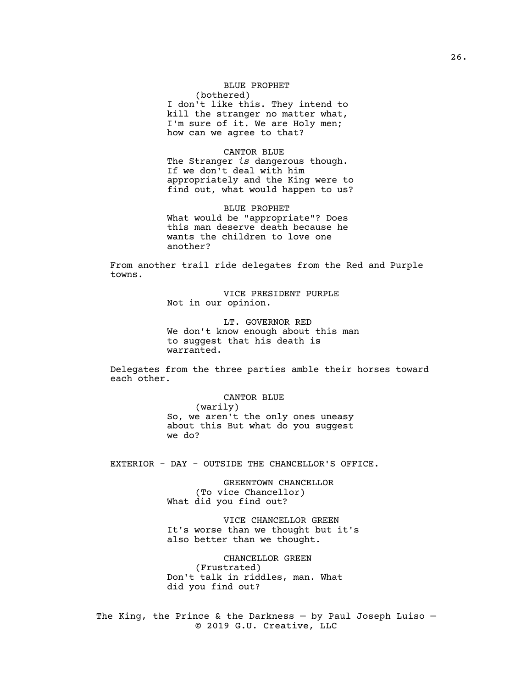BLUE PROPHET (bothered) I don't like this. They intend to kill the stranger no matter what, I'm sure of it. We are Holy men; how can we agree to that?

CANTOR BLUE The Stranger *is* dangerous though. If we don't deal with him appropriately and the King were to find out, what would happen to us?

BLUE PROPHET What would be "appropriate"? Does this man deserve death because he wants the children to love one another?

From another trail ride delegates from the Red and Purple towns.

> VICE PRESIDENT PURPLE Not in our opinion.

LT. GOVERNOR RED We don't know enough about this man to suggest that his death is warranted.

Delegates from the three parties amble their horses toward each other.

> CANTOR BLUE (warily) So, we aren't the only ones uneasy about this But what do you suggest we do?

EXTERIOR - DAY - OUTSIDE THE CHANCELLOR'S OFFICE.

GREENTOWN CHANCELLOR (To vice Chancellor) What did you find out?

VICE CHANCELLOR GREEN It's worse than we thought but it's also better than we thought.

CHANCELLOR GREEN (Frustrated) Don't talk in riddles, man. What did you find out?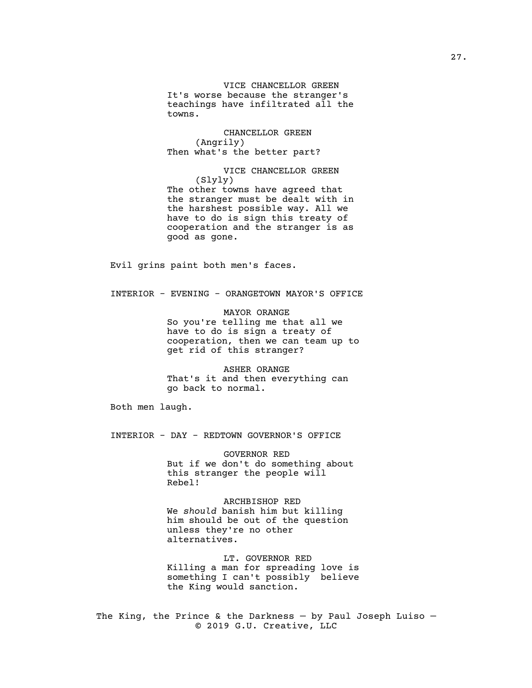VICE CHANCELLOR GREEN It's worse because the stranger's teachings have infiltrated all the towns.

CHANCELLOR GREEN (Angrily) Then what's the better part?

VICE CHANCELLOR GREEN (Slyly) The other towns have agreed that the stranger must be dealt with in the harshest possible way. All we have to do is sign this treaty of cooperation and the stranger is as good as gone.

Evil grins paint both men's faces.

INTERIOR - EVENING - ORANGETOWN MAYOR'S OFFICE

MAYOR ORANGE So you're telling me that all we have to do is sign a treaty of cooperation, then we can team up to get rid of this stranger?

ASHER ORANGE That's it and then everything can go back to normal.

Both men laugh.

INTERIOR - DAY - REDTOWN GOVERNOR'S OFFICE

GOVERNOR RED But if we don't do something about this stranger the people will Rebel!

ARCHBISHOP RED We *should* banish him but killing him should be out of the question unless they're no other alternatives.

LT. GOVERNOR RED Killing a man for spreading love is something I can't possibly believe the King would sanction.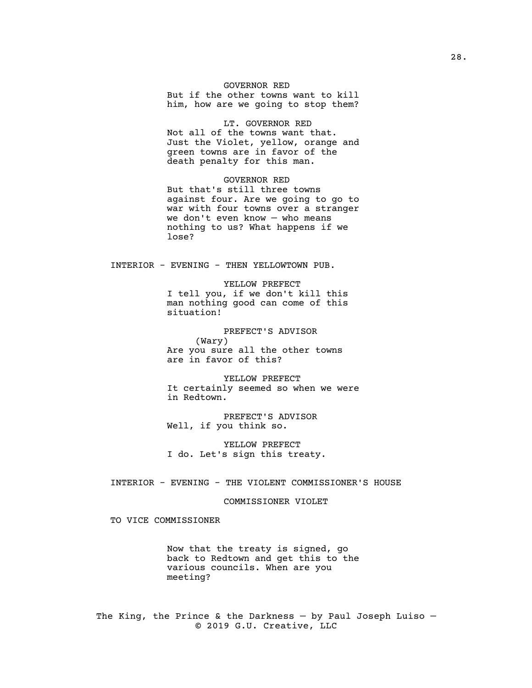# GOVERNOR RED

But if the other towns want to kill him, how are we going to stop them?

LT. GOVERNOR RED Not all of the towns want that. Just the Violet, yellow, orange and green towns are in favor of the death penalty for this man.

GOVERNOR RED But that's still three towns against four. Are we going to go to war with four towns over a stranger we don't even know — who means nothing to us? What happens if we lose?

INTERIOR - EVENING - THEN YELLOWTOWN PUB.

YELLOW PREFECT I tell you, if we don't kill this man nothing good can come of this situation!

PREFECT'S ADVISOR (Wary) Are you sure all the other towns are in favor of this?

YELLOW PREFECT It certainly seemed so when we were in Redtown.

PREFECT'S ADVISOR Well, if you think so.

YELLOW PREFECT I do. Let's sign this treaty.

INTERIOR - EVENING - THE VIOLENT COMMISSIONER'S HOUSE

### COMMISSIONER VIOLET

TO VICE COMMISSIONER

Now that the treaty is signed, go back to Redtown and get this to the various councils. When are you meeting?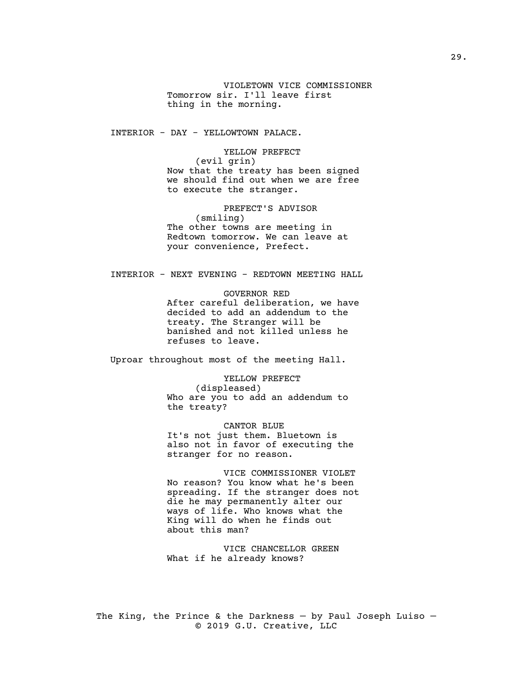VIOLETOWN VICE COMMISSIONER Tomorrow sir. I'll leave first thing in the morning.

INTERIOR - DAY - YELLOWTOWN PALACE.

YELLOW PREFECT (evil grin) Now that the treaty has been signed we should find out when we are free to execute the stranger.

PREFECT'S ADVISOR (smiling) The other towns are meeting in Redtown tomorrow. We can leave at your convenience, Prefect.

# INTERIOR - NEXT EVENING - REDTOWN MEETING HALL

GOVERNOR RED After careful deliberation, we have decided to add an addendum to the treaty. The Stranger will be banished and not killed unless he refuses to leave.

Uproar throughout most of the meeting Hall.

YELLOW PREFECT (displeased) Who are you to add an addendum to the treaty?

CANTOR BLUE It's not just them. Bluetown is also not in favor of executing the stranger for no reason.

VICE COMMISSIONER VIOLET No reason? You know what he's been spreading. If the stranger does not die he may permanently alter our ways of life. Who knows what the King will do when he finds out about this man?

VICE CHANCELLOR GREEN What if he already knows?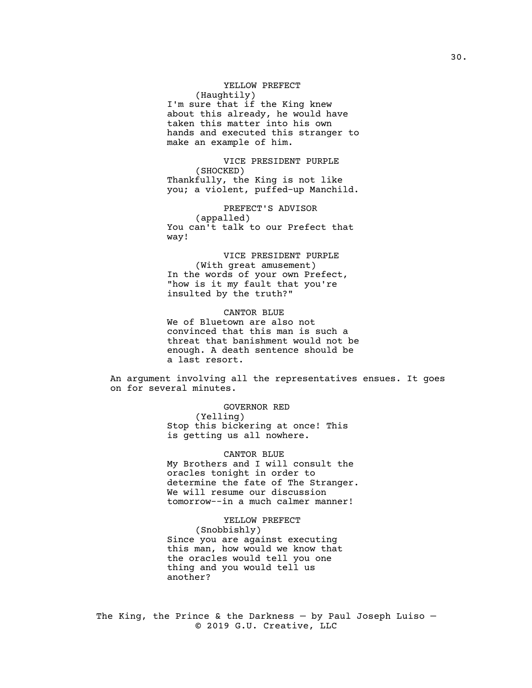YELLOW PREFECT (Haughtily) I'm sure that if the King knew about this already, he would have taken this matter into his own hands and executed this stranger to make an example of him.

VICE PRESIDENT PURPLE (SHOCKED) Thankfully, the King is not like you; a violent, puffed-up Manchild.

PREFECT'S ADVISOR (appalled) You can't talk to our Prefect that way!

VICE PRESIDENT PURPLE (With great amusement) In the words of your own Prefect, "how is it my fault that you're insulted by the truth?"

CANTOR BLUE We of Bluetown are also not convinced that this man is such a threat that banishment would not be enough. A death sentence should be a last resort.

An argument involving all the representatives ensues. It goes on for several minutes.

> GOVERNOR RED (Yelling) Stop this bickering at once! This is getting us all nowhere.

CANTOR BLUE My Brothers and I will consult the oracles tonight in order to determine the fate of The Stranger. We will resume our discussion tomorrow--in a much calmer manner!

YELLOW PREFECT (Snobbishly) Since you are against executing this man, how would we know that the oracles would tell you one thing and you would tell us another?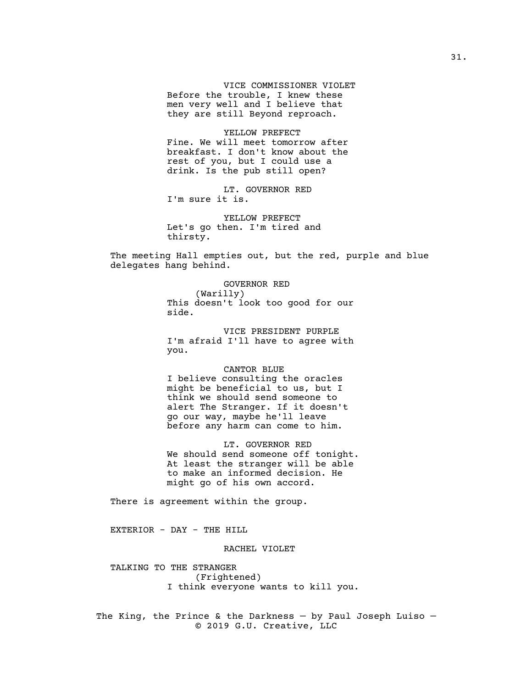VICE COMMISSIONER VIOLET Before the trouble, I knew these men very well and I believe that they are still Beyond reproach.

YELLOW PREFECT Fine. We will meet tomorrow after breakfast. I don't know about the rest of you, but I could use a drink. Is the pub still open?

LT. GOVERNOR RED I'm sure it is.

YELLOW PREFECT Let's go then. I'm tired and thirsty.

The meeting Hall empties out, but the red, purple and blue delegates hang behind.

> GOVERNOR RED (Warilly) This doesn't look too good for our side.

VICE PRESIDENT PURPLE I'm afraid I'll have to agree with you.

#### CANTOR BLUE

I believe consulting the oracles might be beneficial to us, but I think we should send someone to alert The Stranger. If it doesn't go our way, maybe he'll leave before any harm can come to him.

LT. GOVERNOR RED We should send someone off tonight. At least the stranger will be able to make an informed decision. He might go of his own accord.

There is agreement within the group.

EXTERIOR - DAY - THE HILL

RACHEL VIOLET

TALKING TO THE STRANGER (Frightened) I think everyone wants to kill you.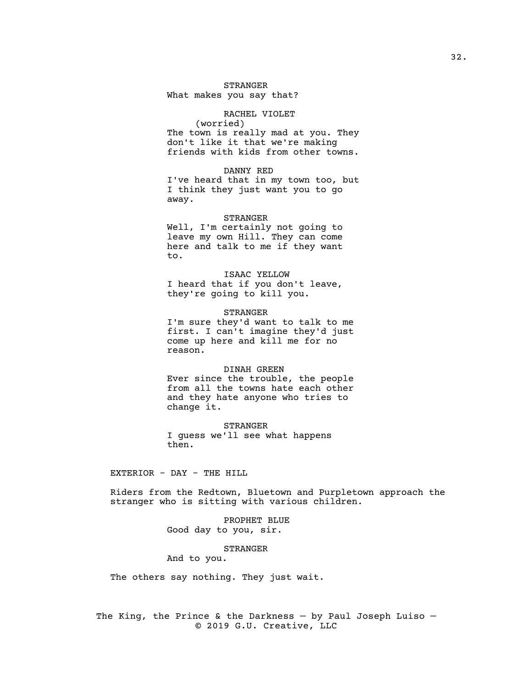### STRANGER

What makes you say that?

# RACHEL VIOLET

(worried) The town is really mad at you. They don't like it that we're making friends with kids from other towns.

#### DANNY RED

I've heard that in my town too, but I think they just want you to go away.

### STRANGER Well, I'm certainly not going to leave my own Hill. They can come here and talk to me if they want

to. ISAAC YELLOW

I heard that if you don't leave, they're going to kill you.

STRANGER I'm sure they'd want to talk to me first. I can't imagine they'd just come up here and kill me for no reason.

#### DINAH GREEN

Ever since the trouble, the people from all the towns hate each other and they hate anyone who tries to change it.

STRANGER I guess we'll see what happens then.

# EXTERIOR - DAY - THE HILL

Riders from the Redtown, Bluetown and Purpletown approach the stranger who is sitting with various children.

> PROPHET BLUE Good day to you, sir.

#### STRANGER

And to you.

The others say nothing. They just wait.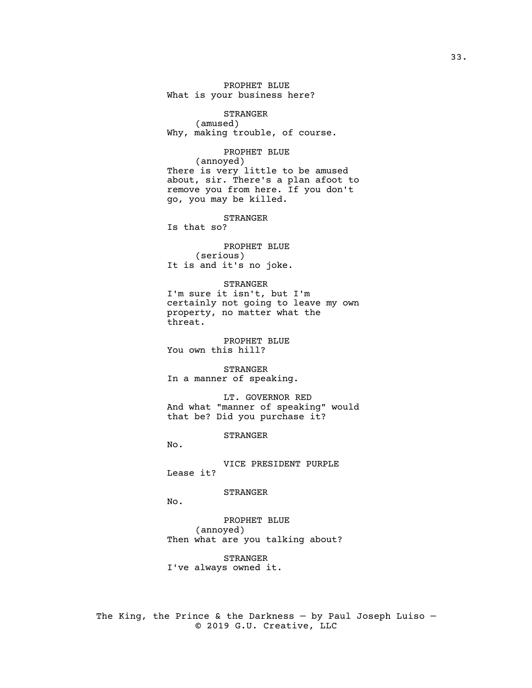PROPHET BLUE What is your business here?

STRANGER (amused) Why, making trouble, of course.

PROPHET BLUE (annoyed) There is very little to be amused about, sir. There's a plan afoot to remove you from here. If you don't go, you may be killed.

STRANGER Is that so?

PROPHET BLUE (serious) It is and it's no joke.

### STRANGER

I'm sure it isn't, but I'm certainly not going to leave my own property, no matter what the threat.

PROPHET BLUE You own this hill?

STRANGER In a manner of speaking.

LT. GOVERNOR RED And what "manner of speaking" would that be? Did you purchase it?

STRANGER

No.

VICE PRESIDENT PURPLE Lease it?

STRANGER

No.

PROPHET BLUE (annoyed) Then what are you talking about?

STRANGER I've always owned it.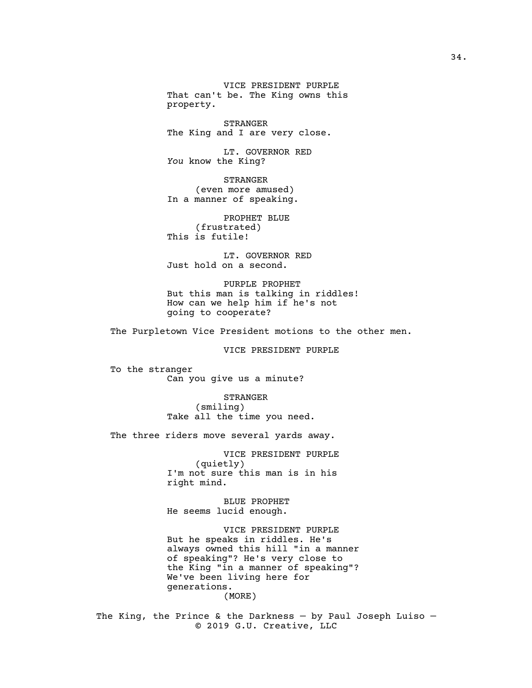VICE PRESIDENT PURPLE That can't be. The King owns this property.

STRANGER The King and I are very close.

LT. GOVERNOR RED *You* know the King?

STRANGER (even more amused) In a manner of speaking.

PROPHET BLUE (frustrated) This is futile!

LT. GOVERNOR RED Just hold on a second.

PURPLE PROPHET But this man is talking in riddles! How can we help him if he's not going to cooperate?

The Purpletown Vice President motions to the other men.

VICE PRESIDENT PURPLE

To the stranger Can you give us a minute?

> STRANGER (smiling) Take all the time you need.

The three riders move several yards away.

VICE PRESIDENT PURPLE (quietly) I'm not sure this man is in his right mind.

BLUE PROPHET He seems lucid enough.

VICE PRESIDENT PURPLE But he speaks in riddles. He's always owned this hill "in a manner of speaking"? He's very close to the King "in a manner of speaking"? We've been living here for generations. (MORE)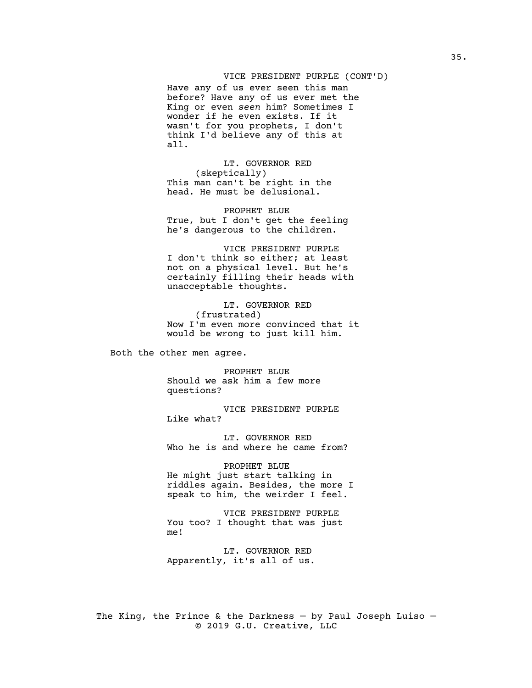### VICE PRESIDENT PURPLE (CONT'D)

Have any of us ever seen this man before? Have any of us ever met the King or even *seen* him? Sometimes I wonder if he even exists. If it wasn't for you prophets, I don't think I'd believe any of this at all.

LT. GOVERNOR RED (skeptically) This man can't be right in the head. He must be delusional.

PROPHET BLUE True, but I don't get the feeling he's dangerous to the children.

VICE PRESIDENT PURPLE I don't think so either; at least not on a physical level. But he's certainly filling their heads with unacceptable thoughts.

LT. GOVERNOR RED (frustrated) Now I'm even more convinced that it would be wrong to just kill him.

Both the other men agree.

PROPHET BLUE Should we ask him a few more questions?

VICE PRESIDENT PURPLE Like what?

LT. GOVERNOR RED Who he is and where he came from?

PROPHET BLUE He might just start talking in riddles again. Besides, the more I speak to him, the weirder I feel.

VICE PRESIDENT PURPLE You too? I thought that was just me!

LT. GOVERNOR RED Apparently, it's all of us.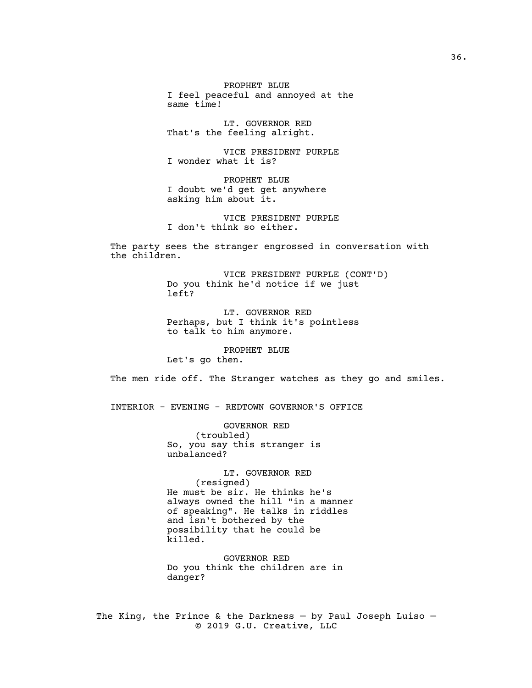PROPHET BLUE I feel peaceful and annoyed at the same time!

LT. GOVERNOR RED That's the feeling alright.

VICE PRESIDENT PURPLE I wonder what it is?

PROPHET BLUE I doubt we'd get get anywhere asking him about it.

VICE PRESIDENT PURPLE I don't think so either.

The party sees the stranger engrossed in conversation with the children.

> VICE PRESIDENT PURPLE (CONT'D) Do you think he'd notice if we just left?

LT. GOVERNOR RED Perhaps, but I think it's pointless to talk to him anymore.

PROPHET BLUE Let's go then.

The men ride off. The Stranger watches as they go and smiles.

INTERIOR - EVENING - REDTOWN GOVERNOR'S OFFICE

GOVERNOR RED (troubled) So, you say this stranger is unbalanced?

LT. GOVERNOR RED (resigned) He must be sir. He thinks he's always owned the hill "in a manner of speaking". He talks in riddles and isn't bothered by the possibility that he could be killed.

GOVERNOR RED Do you think the children are in danger?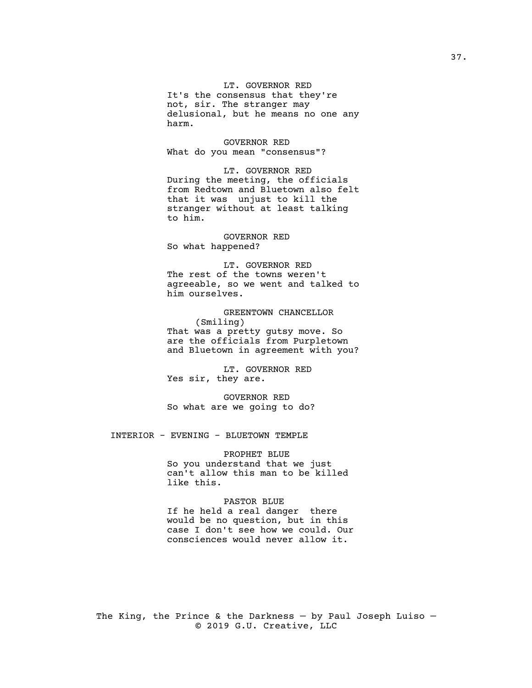LT. GOVERNOR RED

It's the consensus that they're not, sir. The stranger may delusional, but he means no one any harm.

GOVERNOR RED What do you mean "consensus"?

LT. GOVERNOR RED During the meeting, the officials from Redtown and Bluetown also felt that it was unjust to kill the stranger without at least talking to him.

GOVERNOR RED So what happened?

LT. GOVERNOR RED The rest of the towns weren't agreeable, so we went and talked to him ourselves.

GREENTOWN CHANCELLOR (Smiling) That was a pretty gutsy move. So are the officials from Purpletown and Bluetown in agreement with you?

LT. GOVERNOR RED Yes sir, they are.

GOVERNOR RED So what are we going to do?

INTERIOR - EVENING - BLUETOWN TEMPLE

PROPHET BLUE So you understand that we just can't allow this man to be killed like this.

### PASTOR BLUE

If he held a real danger there would be no question, but in this case I don't see how we could. Our consciences would never allow it.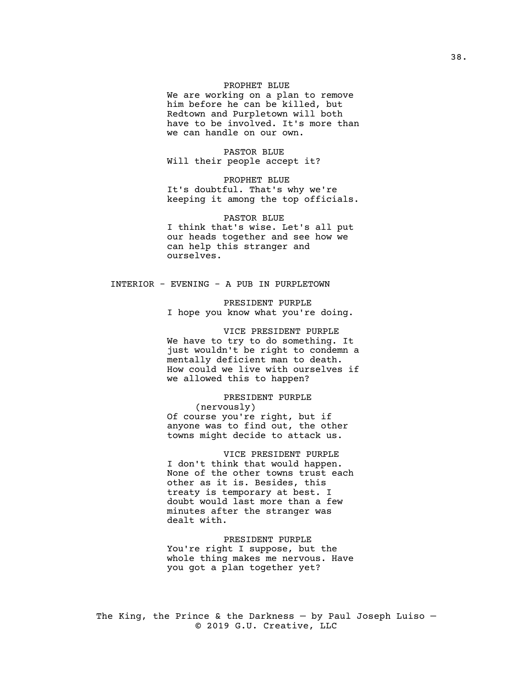# PROPHET BLUE

We are working on a plan to remove him before he can be killed, but Redtown and Purpletown will both have to be involved. It's more than we can handle on our own.

PASTOR BLUE Will their people accept it?

PROPHET BLUE It's doubtful. That's why we're keeping it among the top officials.

PASTOR BLUE I think that's wise. Let's all put our heads together and see how we can help this stranger and ourselves.

# INTERIOR - EVENING - A PUB IN PURPLETOWN

PRESIDENT PURPLE I hope you know what you're doing.

VICE PRESIDENT PURPLE We have to try to do something. It just wouldn't be right to condemn a mentally deficient man to death. How could we live with ourselves if we allowed this to happen?

PRESIDENT PURPLE (nervously) Of course you're right, but if anyone was to find out, the other towns might decide to attack us.

VICE PRESIDENT PURPLE I don't think that would happen. None of the other towns trust each other as it is. Besides, this treaty is temporary at best. I doubt would last more than a few minutes after the stranger was dealt with.

PRESIDENT PURPLE You're right I suppose, but the whole thing makes me nervous. Have you got a plan together yet?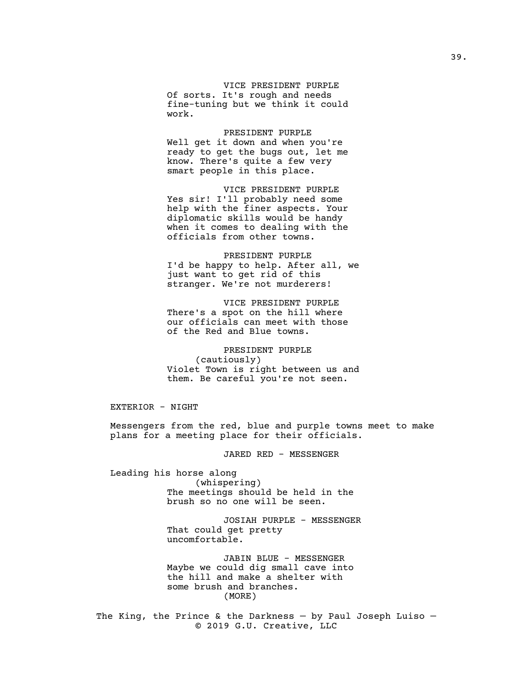VICE PRESIDENT PURPLE Of sorts. It's rough and needs fine-tuning but we think it could work.

PRESIDENT PURPLE Well get it down and when you're ready to get the bugs out, let me know. There's quite a few very smart people in this place.

VICE PRESIDENT PURPLE Yes sir! I'll probably need some help with the finer aspects. Your diplomatic skills would be handy when it comes to dealing with the officials from other towns.

PRESIDENT PURPLE I'd be happy to help. After all, we just want to get rid of this stranger. We're not murderers!

VICE PRESIDENT PURPLE There's a spot on the hill where our officials can meet with those of the Red and Blue towns.

PRESIDENT PURPLE (cautiously) Violet Town is right between us and them. Be careful you're not seen.

EXTERIOR - NIGHT

Messengers from the red, blue and purple towns meet to make plans for a meeting place for their officials.

JARED RED - MESSENGER

Leading his horse along (whispering) The meetings should be held in the brush so no one will be seen.

> JOSIAH PURPLE - MESSENGER That could get pretty uncomfortable.

JABIN BLUE - MESSENGER Maybe we could dig small cave into the hill and make a shelter with some brush and branches. (MORE)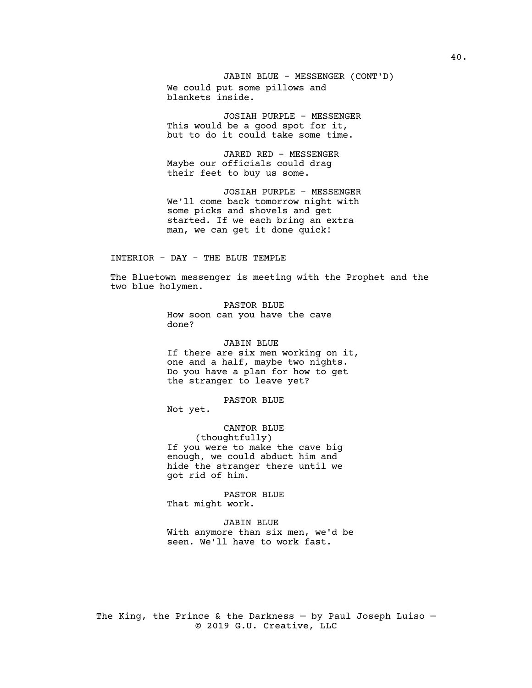JABIN BLUE - MESSENGER (CONT'D) We could put some pillows and blankets inside.

JOSIAH PURPLE - MESSENGER This would be a good spot for it, but to do it could take some time.

JARED RED - MESSENGER Maybe our officials could drag their feet to buy us some.

JOSIAH PURPLE - MESSENGER We'll come back tomorrow night with some picks and shovels and get started. If we each bring an extra man, we can get it done quick!

### INTERIOR - DAY - THE BLUE TEMPLE

The Bluetown messenger is meeting with the Prophet and the two blue holymen.

> PASTOR BLUE How soon can you have the cave done?

### JABIN BLUE

If there are six men working on it, one and a half, maybe two nights. Do you have a plan for how to get the stranger to leave yet?

PASTOR BLUE

Not yet.

CANTOR BLUE (thoughtfully) If you were to make the cave big enough, we could abduct him and hide the stranger there until we got rid of him.

PASTOR BLUE That might work.

JABIN BLUE With anymore than six men, we'd be seen. We'll have to work fast.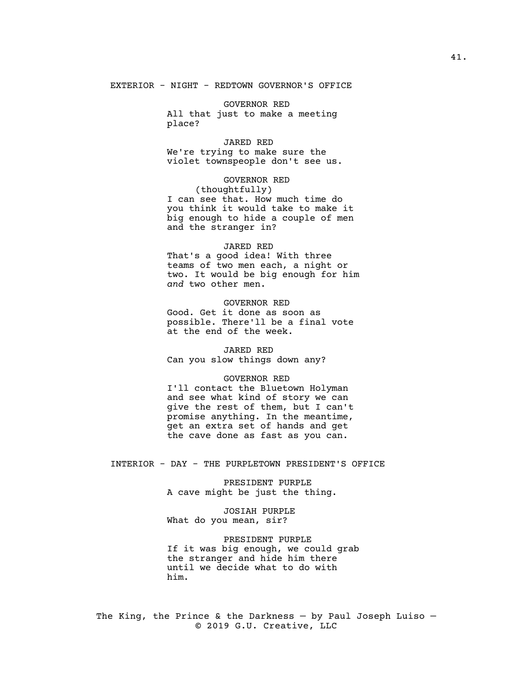EXTERIOR - NIGHT - REDTOWN GOVERNOR'S OFFICE

GOVERNOR RED All that just to make a meeting place?

JARED RED We're trying to make sure the violet townspeople don't see us.

GOVERNOR RED (thoughtfully) I can see that. How much time do you think it would take to make it big enough to hide a couple of men and the stranger in?

#### JARED RED

That's a good idea! With three teams of two men each, a night or two. It would be big enough for him *and* two other men.

GOVERNOR RED

Good. Get it done as soon as possible. There'll be a final vote at the end of the week.

#### JARED RED

Can you slow things down any?

### GOVERNOR RED

I'll contact the Bluetown Holyman and see what kind of story we can give the rest of them, but I can't promise anything. In the meantime, et an extra set of hands and get the cave done as fast as you can.

INTERIOR - DAY - THE PURPLETOWN PRESIDENT'S OFFICE

PRESIDENT PURPLE A cave might be just the thing.

JOSIAH PURPLE What do you mean, sir?

PRESIDENT PURPLE If it was big enough, we could grab the stranger and hide him there until we decide what to do with him.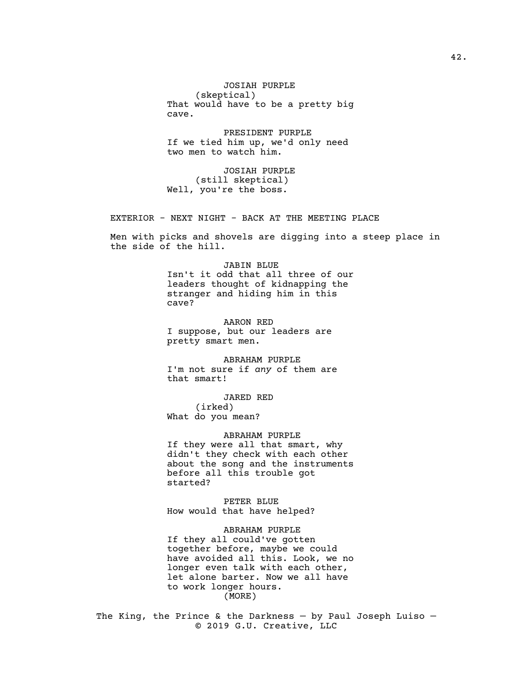JOSIAH PURPLE (skeptical) That would have to be a pretty big cave.

PRESIDENT PURPLE If we tied him up, we'd only need two men to watch him.

JOSIAH PURPLE (still skeptical) Well, you're the boss.

EXTERIOR - NEXT NIGHT - BACK AT THE MEETING PLACE

Men with picks and shovels are digging into a steep place in the side of the hill.

### JABIN BLUE

Isn't it odd that all three of our leaders thought of kidnapping the stranger and hiding him in this cave?

AARON RED I suppose, but our leaders are pretty smart men.

ABRAHAM PURPLE I'm not sure if *any* of them are that smart!

JARED RED

(irked) What do you mean?

ABRAHAM PURPLE If they were all that smart, why didn't they check with each other about the song and the instruments before all this trouble got started?

PETER BLUE How would that have helped?

ABRAHAM PURPLE If they all could've gotten together before, maybe we could have avoided all this. Look, we no longer even talk with each other, let alone barter. Now we all have to work longer hours. (MORE)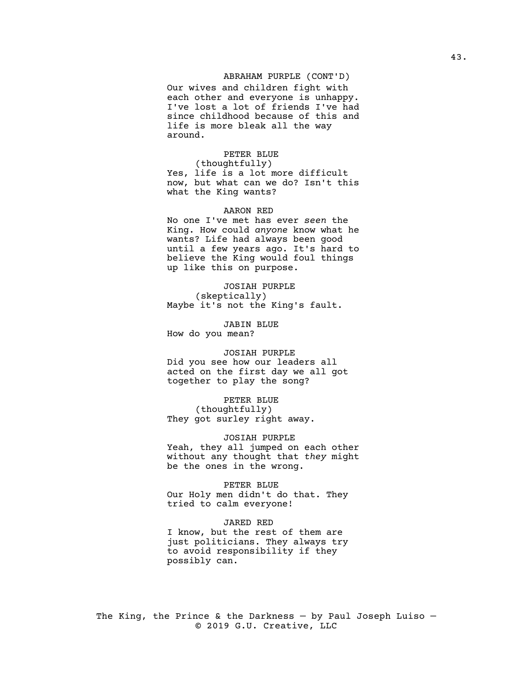# ABRAHAM PURPLE (CONT'D)

Our wives and children fight with each other and everyone is unhappy. I've lost a lot of friends I've had since childhood because of this and life is more bleak all the way around.

# PETER BLUE

(thoughtfully) Yes, life is a lot more difficult now, but what can we do? Isn't this what the King wants?

#### AARON RED

No one I've met has ever *seen* the King. How could *anyone* know what he wants? Life had always been good until a few years ago. It's hard to believe the King would foul things up like this on purpose.

JOSIAH PURPLE (skeptically) Maybe it's not the King's fault.

JABIN BLUE

How do you mean?

#### JOSIAH PURPLE

Did you see how our leaders all acted on the first day we all got together to play the song?

PETER BLUE (thoughtfully) They got surley right away.

JOSIAH PURPLE Yeah, they all jumped on each other without any thought that *they* might be the ones in the wrong.

PETER BLUE Our Holy men didn't do that. They tried to calm everyone!

#### JARED RED

I know, but the rest of them are just politicians. They always try to avoid responsibility if they possibly can.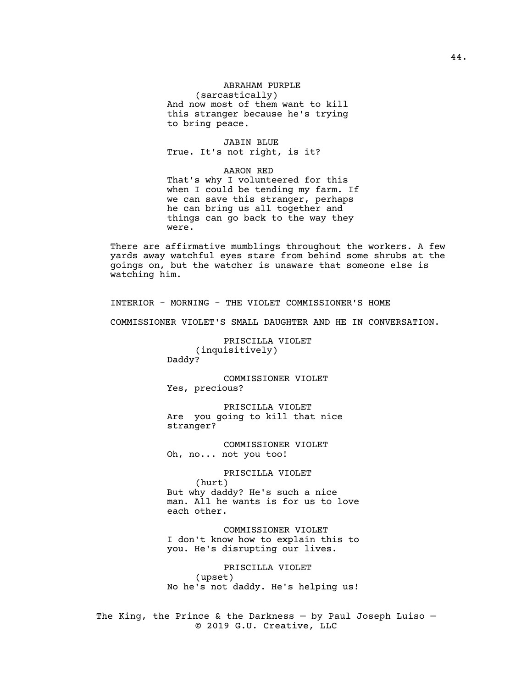# ABRAHAM PURPLE (sarcastically) And now most of them want to kill this stranger because he's trying to bring peace.

JABIN BLUE True. It's not right, is it?

AARON RED That's why I volunteered for this when I could be tending my farm. If we can save this stranger, perhaps he can bring us all together and things can go back to the way they were.

There are affirmative mumblings throughout the workers. A few yards away watchful eyes stare from behind some shrubs at the goings on, but the watcher is unaware that someone else is watching him.

INTERIOR - MORNING - THE VIOLET COMMISSIONER'S HOME

COMMISSIONER VIOLET'S SMALL DAUGHTER AND HE IN CONVERSATION.

PRISCILLA VIOLET (inquisitively) Daddy?

COMMISSIONER VIOLET Yes, precious?

PRISCILLA VIOLET Are you going to kill that nice stranger?

COMMISSIONER VIOLET Oh, no... not you too!

PRISCILLA VIOLET

(hurt) But why daddy? He's such a nice man. All he wants is for us to love each other.

COMMISSIONER VIOLET I don't know how to explain this to you. He's disrupting our lives.

PRISCILLA VIOLET (upset) No he's not daddy. He's helping us!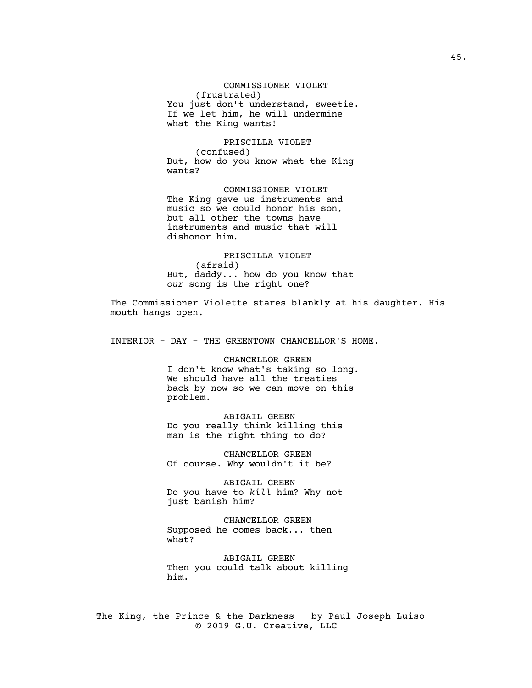COMMISSIONER VIOLET (frustrated) You just don't understand, sweetie. If we let him, he will undermine what the King wants!

PRISCILLA VIOLET (confused) But, how do you know what the King wants?

COMMISSIONER VIOLET The King gave us instruments and music so we could honor his son, but all other the towns have instruments and music that will dishonor him.

PRISCILLA VIOLET (afraid) But, daddy... how do you know that *our* song is the right one?

The Commissioner Violette stares blankly at his daughter. His mouth hangs open.

INTERIOR - DAY - THE GREENTOWN CHANCELLOR'S HOME.

CHANCELLOR GREEN I don't know what's taking so long. We should have all the treaties back by now so we can move on this problem.

ABIGAIL GREEN Do you really think killing this man is the right thing to do?

CHANCELLOR GREEN Of course. Why wouldn't it be?

ABIGAIL GREEN Do you have to *kill* him? Why not just banish him?

CHANCELLOR GREEN Supposed he comes back... then what?

ABIGAIL GREEN Then you could talk about killing him.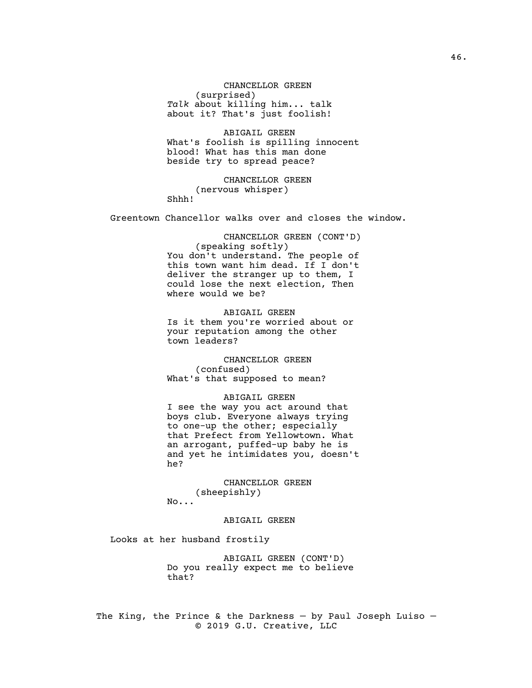CHANCELLOR GREEN (surprised) *Talk* about killing him... talk about it? That's just foolish!

ABIGAIL GREEN What's foolish is spilling innocent blood! What has this man done beside try to spread peace?

CHANCELLOR GREEN (nervous whisper) Shhh!

Greentown Chancellor walks over and closes the window.

CHANCELLOR GREEN (CONT'D) (speaking softly) You don't understand. The people of this town want him dead. If I don't deliver the stranger up to them, I could lose the next election, Then where would we be?

ABIGAIL GREEN Is it them you're worried about or your reputation among the other town leaders?

CHANCELLOR GREEN (confused) What's that supposed to mean?

ABIGAIL GREEN I see the way you act around that boys club. Everyone always trying to one-up the other; especially that Prefect from Yellowtown. What an arrogant, puffed-up baby he is and yet he intimidates you, doesn't he?

CHANCELLOR GREEN (sheepishly) No...

### ABIGAIL GREEN

Looks at her husband frostily

ABIGAIL GREEN (CONT'D) Do you really expect me to believe that?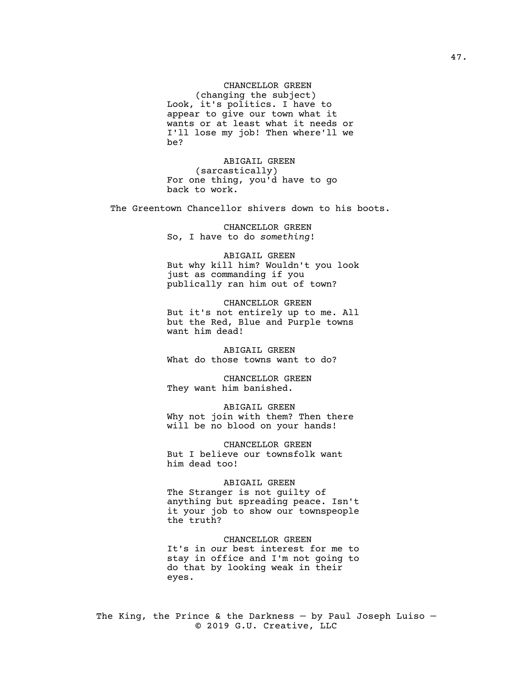CHANCELLOR GREEN (changing the subject) Look, it's politics. I have to appear to give our town what it wants or at least what it needs or I'll lose my job! Then where'll we be?

ABIGAIL GREEN (sarcastically) For one thing, you'd have to go back to work.

The Greentown Chancellor shivers down to his boots.

CHANCELLOR GREEN So, I have to do *something*!

ABIGAIL GREEN But why kill him? Wouldn't you look just as commanding if you publically ran him out of town?

CHANCELLOR GREEN But it's not entirely up to me. All but the Red, Blue and Purple towns want him dead!

ABIGAIL GREEN What do those towns want to do?

CHANCELLOR GREEN They want him banished.

ABIGAIL GREEN Why not join with them? Then there will be no blood on your hands!

CHANCELLOR GREEN But I believe our townsfolk want him dead too!

### ABIGAIL GREEN

The Stranger is not guilty of anything but spreading peace. Isn't it your job to show our townspeople the truth?

CHANCELLOR GREEN It's in *our* best interest for me to stay in office and I'm not going to do that by looking weak in their eyes.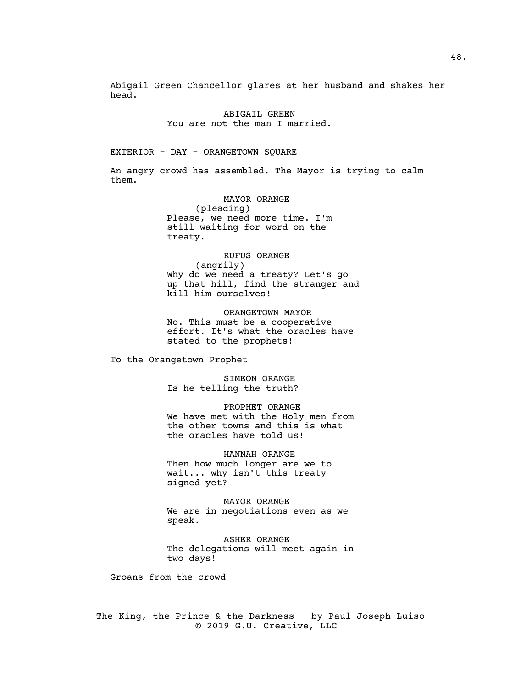Abigail Green Chancellor glares at her husband and shakes her head.

> ABIGAIL GREEN You are not the man I married.

#### EXTERIOR - DAY - ORANGETOWN SQUARE

An angry crowd has assembled. The Mayor is trying to calm them.

> MAYOR ORANGE (pleading) Please, we need more time. I'm still waiting for word on the treaty.

RUFUS ORANGE (angrily) Why do we need a treaty? Let's go up that hill, find the stranger and kill him ourselves!

ORANGETOWN MAYOR No. This must be a cooperative effort. It's what the oracles have stated to the prophets!

To the Orangetown Prophet

SIMEON ORANGE Is he telling the truth?

PROPHET ORANGE We have met with the Holy men from the other towns and this is what the oracles have told us!

HANNAH ORANGE Then how much longer are we to wait... why isn't this treaty signed yet?

MAYOR ORANGE We are in negotiations even as we speak.

ASHER ORANGE The delegations will meet again in two days!

Groans from the crowd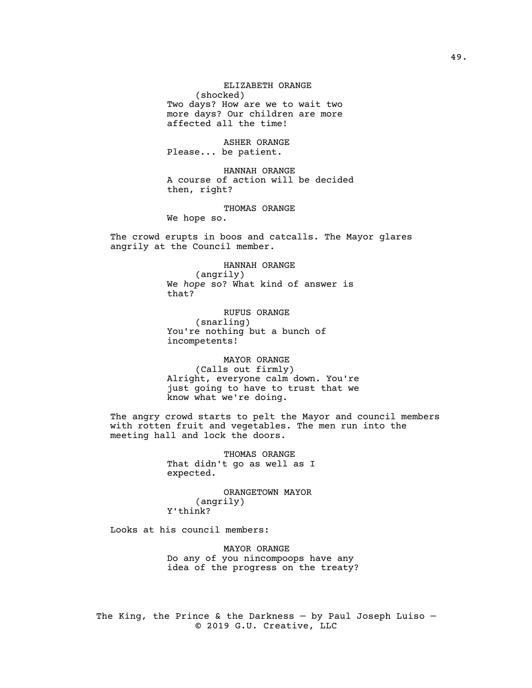ELIZABETH ORANGE (shocked) Two days? How are we to wait two more days? Our children are more affected all the time!

ASHER ORANGE Please... be patient.

HANNAH ORANGE A course of action will be decided then, right?

THOMAS ORANGE

We hope so.

The crowd erupts in boos and catcalls. The Mayor glares angrily at the Council member.

> HANNAH ORANGE (angrily) We *hope* so? What kind of answer is that?

RUFUS ORANGE (snarling) You're nothing but a bunch of incompetents!

MAYOR ORANGE (Calls out firmly) Alright, everyone calm down. You're just going to have to trust that we know what we're doing.

The angry crowd starts to pelt the Mayor and council members with rotten fruit and vegetables. The men run into the meeting hall and lock the doors.

> THOMAS ORANGE That didn't go as well as I expected.

ORANGETOWN MAYOR (angrily) Y'think?

Looks at his council members:

MAYOR ORANGE Do any of you nincompoops have any idea of the progress on the treaty?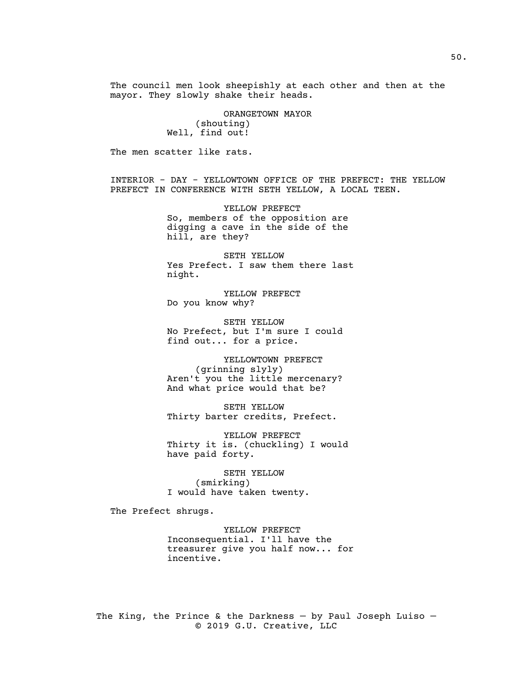The council men look sheepishly at each other and then at the mayor. They slowly shake their heads.

> ORANGETOWN MAYOR (shouting) Well, find out!

The men scatter like rats.

INTERIOR - DAY - YELLOWTOWN OFFICE OF THE PREFECT: THE YELLOW PREFECT IN CONFERENCE WITH SETH YELLOW, A LOCAL TEEN.

> YELLOW PREFECT So, members of the opposition are digging a cave in the side of the hill, are they?

SETH YELLOW Yes Prefect. I saw them there last night.

YELLOW PREFECT Do you know why?

SETH YELLOW No Prefect, but I'm sure I could find out... for a price.

YELLOWTOWN PREFECT (grinning slyly) Aren't you the little mercenary? And what price would that be?

SETH YELLOW Thirty barter credits, Prefect.

YELLOW PREFECT Thirty it is. (chuckling) I would have paid forty.

SETH YELLOW (smirking) I would have taken twenty.

The Prefect shrugs.

YELLOW PREFECT Inconsequential. I'll have the treasurer give you half now... for incentive.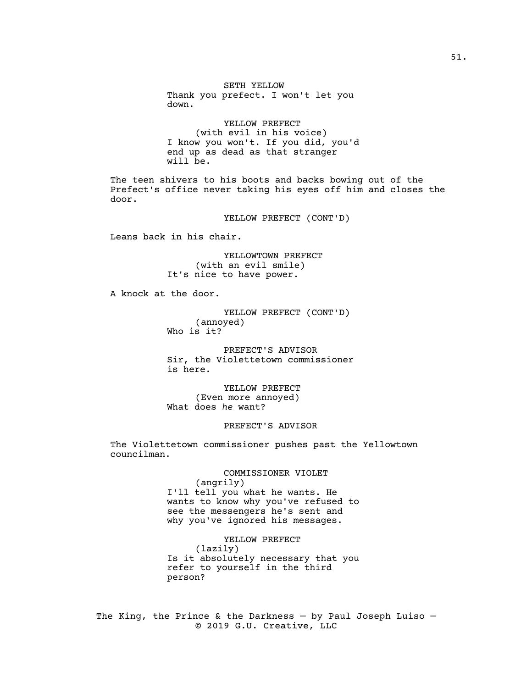SETH YELLOW Thank you prefect. I won't let you down.

YELLOW PREFECT (with evil in his voice) I know you won't. If you did, you'd end up as dead as that stranger will be.

The teen shivers to his boots and backs bowing out of the Prefect's office never taking his eyes off him and closes the door.

YELLOW PREFECT (CONT'D)

Leans back in his chair.

YELLOWTOWN PREFECT (with an evil smile) It's nice to have power.

A knock at the door.

YELLOW PREFECT (CONT'D) (annoyed) Who is it?

PREFECT'S ADVISOR Sir, the Violettetown commissioner is here.

YELLOW PREFECT (Even more annoyed) What does *he* want?

# PREFECT'S ADVISOR

The Violettetown commissioner pushes past the Yellowtown councilman.

> COMMISSIONER VIOLET (angrily) I'll tell you what he wants. He wants to know why you've refused to see the messengers he's sent and why you've ignored his messages.

> YELLOW PREFECT (lazily) Is it absolutely necessary that you refer to yourself in the third person?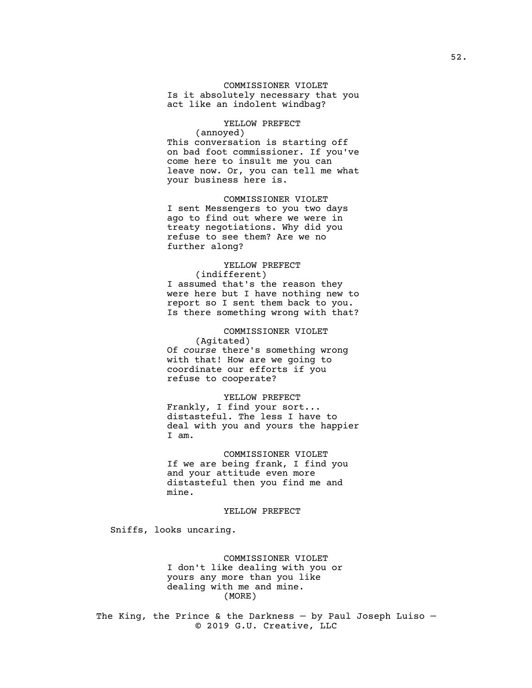# COMMISSIONER VIOLET

Is it absolutely necessary that you act like an indolent windbag?

# YELLOW PREFECT (annoyed) This conversation is starting off on bad foot commissioner. If you've come here to insult me you can leave now. Or, you can tell me what your business here is.

COMMISSIONER VIOLET I sent Messengers to you two days ago to find out where we were in treaty negotiations. Why did you refuse to see them? Are we no further along?

# YELLOW PREFECT

(indifferent) I assumed that's the reason they were here but I have nothing new to report so I sent them back to you. Is there something wrong with that?

# COMMISSIONER VIOLET (Agitated) Of *course* there's something wrong with that! How are we going to coordinate our efforts if you refuse to cooperate?

YELLOW PREFECT Frankly, I find your sort... distasteful. The less I have to deal with you and yours the happier I am.

COMMISSIONER VIOLET If we are being frank, I find you and your attitude even more distasteful then you find me and mine.

### YELLOW PREFECT

Sniffs, looks uncaring.

# COMMISSIONER VIOLET I don't like dealing with you or yours any more than you like dealing with me and mine. (MORE)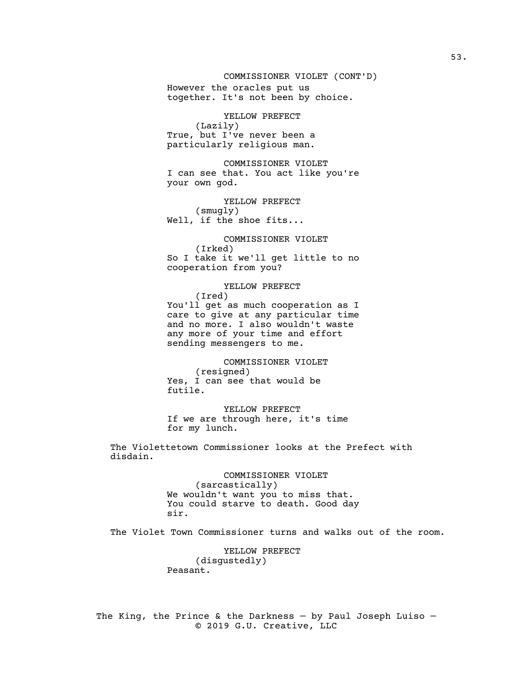# COMMISSIONER VIOLET (CONT'D)

However the oracles put us together. It's not been by choice.

YELLOW PREFECT (Lazily) True, but I've never been a particularly religious man.

COMMISSIONER VIOLET I can see that. You act like you're your own god.

YELLOW PREFECT (smugly) Well, if the shoe fits...

COMMISSIONER VIOLET (Irked) So I take it we'll get little to no cooperation from you?

YELLOW PREFECT (Ired) You'll get as much cooperation as I care to give at any particular time and no more. I also wouldn't waste any more of your time and effort sending messengers to me.

COMMISSIONER VIOLET (resigned) Yes, I can see that would be futile.

YELLOW PREFECT If we are through here, it's time for my lunch.

The Violettetown Commissioner looks at the Prefect with disdain.

> COMMISSIONER VIOLET (sarcastically) We wouldn't want you to miss that. You could starve to death. Good day sir.

The Violet Town Commissioner turns and walks out of the room.

YELLOW PREFECT (disgustedly) Peasant.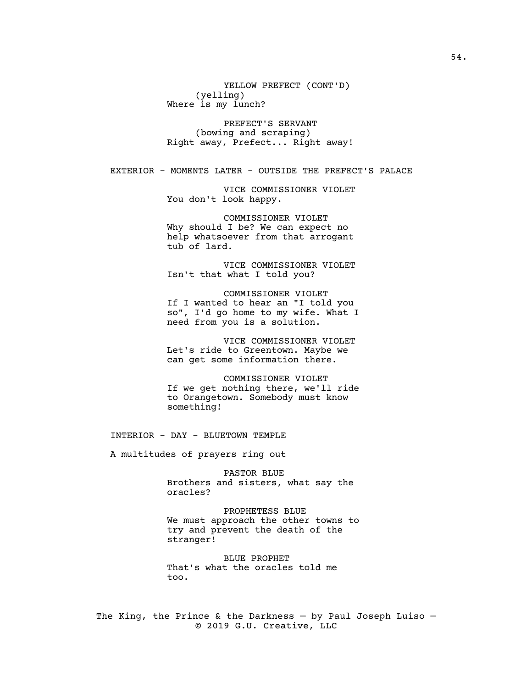YELLOW PREFECT (CONT'D) (yelling) Where is my lunch?

PREFECT'S SERVANT (bowing and scraping) Right away, Prefect... Right away!

EXTERIOR - MOMENTS LATER - OUTSIDE THE PREFECT'S PALACE

VICE COMMISSIONER VIOLET You don't look happy.

COMMISSIONER VIOLET Why should I be? We can expect no help whatsoever from that arrogant tub of lard.

VICE COMMISSIONER VIOLET Isn't that what I told you?

COMMISSIONER VIOLET If I wanted to hear an "I told you so", I'd go home to my wife. What I need from you is a solution.

VICE COMMISSIONER VIOLET Let's ride to Greentown. Maybe we can get some information there.

COMMISSIONER VIOLET If we get nothing there, we'll ride to Orangetown. Somebody must know something!

INTERIOR - DAY - BLUETOWN TEMPLE

A multitudes of prayers ring out

PASTOR BLUE Brothers and sisters, what say the oracles?

PROPHETESS BLUE We must approach the other towns to try and prevent the death of the stranger!

BLUE PROPHET That's what the oracles told me too.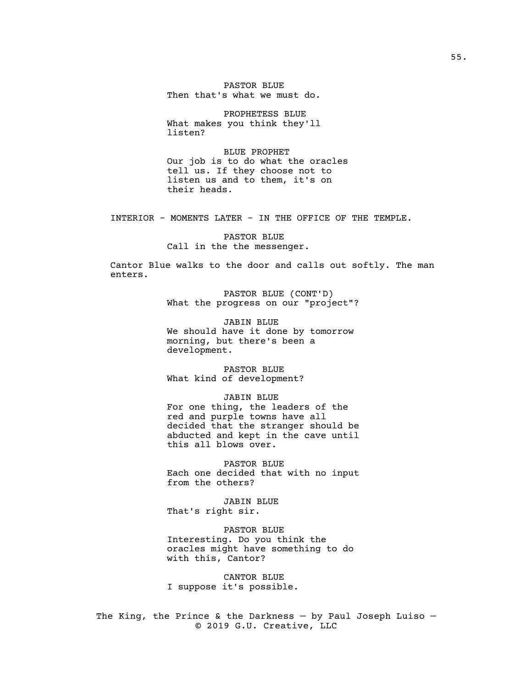PASTOR BLUE Then that's what we must do.

PROPHETESS BLUE What makes you think they'll listen?

BLUE PROPHET Our job is to do what the oracles tell us. If they choose not to listen us and to them, it's on their heads.

INTERIOR - MOMENTS LATER - IN THE OFFICE OF THE TEMPLE.

PASTOR BLUE Call in the the messenger.

Cantor Blue walks to the door and calls out softly. The man enters.

> PASTOR BLUE (CONT'D) What the progress on our "project"?

JABIN BLUE We should have it done by tomorrow morning, but there's been a development.

PASTOR BLUE What kind of development?

JABIN BLUE For one thing, the leaders of the red and purple towns have all decided that the stranger should be abducted and kept in the cave until this all blows over.

PASTOR BLUE Each one decided that with no input from the others?

JABIN BLUE That's right sir.

PASTOR BLUE Interesting. Do you think the oracles might have something to do with this, Cantor?

CANTOR BLUE I suppose it's possible.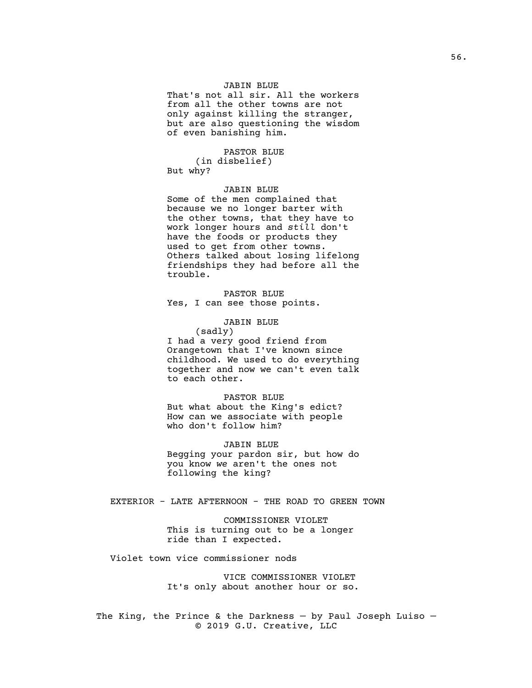# JABIN BLUE

That's not all sir. All the workers from all the other towns are not only against killing the stranger, but are also questioning the wisdom of even banishing him.

# PASTOR BLUE

(in disbelief) But why?

### JABIN BLUE

Some of the men complained that because we no longer barter with the other towns, that they have to work longer hours and *still* don't have the foods or products they used to get from other towns. Others talked about losing lifelong friendships they had before all the trouble.

PASTOR BLUE Yes, I can see those points.

# JABIN BLUE

(sadly) I had a very good friend from

Orangetown that I've known since childhood. We used to do everything together and now we can't even talk to each other.

# PASTOR BLUE

But what about the King's edict? How can we associate with people who don't follow him?

JABIN BLUE Begging your pardon sir, but how do you know *we* aren't the ones not following the king?

# EXTERIOR - LATE AFTERNOON - THE ROAD TO GREEN TOWN

COMMISSIONER VIOLET This is turning out to be a longer ride than I expected.

Violet town vice commissioner nods

VICE COMMISSIONER VIOLET It's only about another hour or so.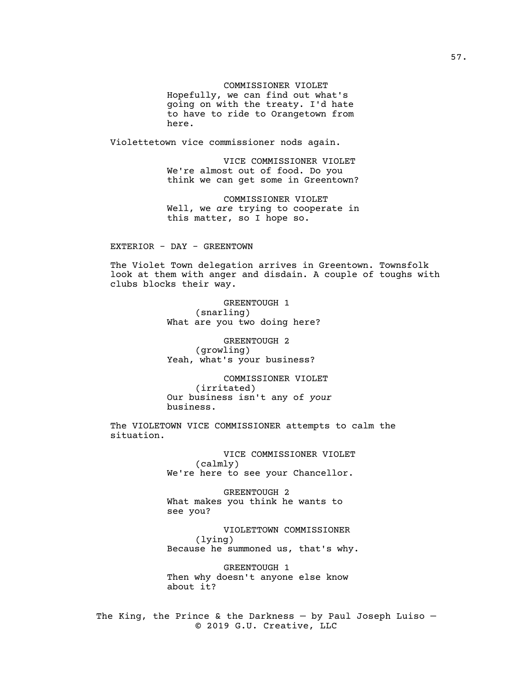# COMMISSIONER VIOLET

Hopefully, we can find out what's going on with the treaty. I'd hate to have to ride to Orangetown from here.

Violettetown vice commissioner nods again.

VICE COMMISSIONER VIOLET We're almost out of food. Do you think we can get some in Greentown?

COMMISSIONER VIOLET Well, we *are* trying to cooperate in this matter, so I hope so.

### EXTERIOR - DAY - GREENTOWN

The Violet Town delegation arrives in Greentown. Townsfolk look at them with anger and disdain. A couple of toughs with clubs blocks their way.

> GREENTOUGH 1 (snarling) What are you two doing here?

GREENTOUGH 2 (growling) Yeah, what's your business?

COMMISSIONER VIOLET (irritated) Our business isn't any of *your* business.

The VIOLETOWN VICE COMMISSIONER attempts to calm the situation.

> VICE COMMISSIONER VIOLET (calmly) We're here to see your Chancellor.

GREENTOUGH 2 What makes you think he wants to see you?

VIOLETTOWN COMMISSIONER (lying) Because he summoned us, that's why.

GREENTOUGH 1 Then why doesn't anyone else know about it?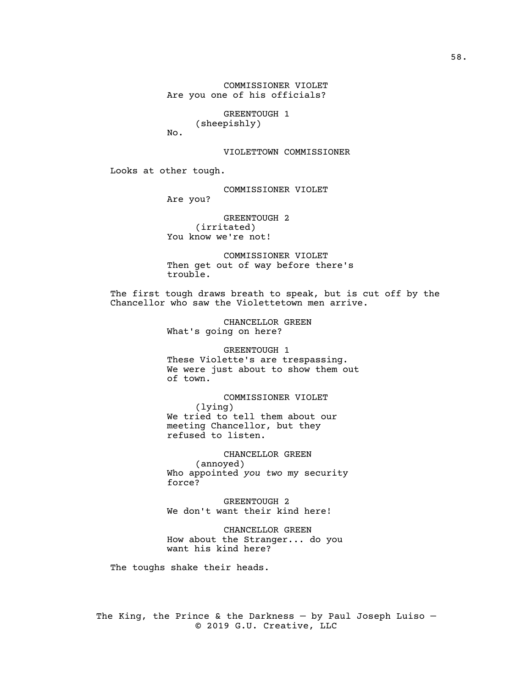COMMISSIONER VIOLET Are you one of his officials?

> GREENTOUGH 1 (sheepishly)

No.

### VIOLETTOWN COMMISSIONER

Looks at other tough.

COMMISSIONER VIOLET

Are you?

GREENTOUGH 2 (irritated) You know we're not!

COMMISSIONER VIOLET Then get out of way before there's trouble.

The first tough draws breath to speak, but is cut off by the Chancellor who saw the Violettetown men arrive.

> CHANCELLOR GREEN What's going on here?

GREENTOUGH 1 These Violette's are trespassing. We were just about to show them out of town.

COMMISSIONER VIOLET (lying) We tried to tell them about our meeting Chancellor, but they refused to listen.

CHANCELLOR GREEN (annoyed) Who appointed *you two* my security force?

GREENTOUGH 2 We don't want their kind here!

CHANCELLOR GREEN How about the Stranger... do you want his kind here?

The toughs shake their heads.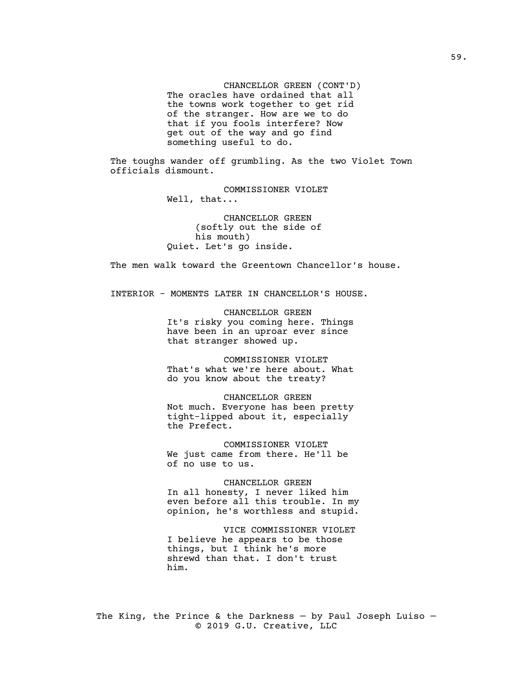CHANCELLOR GREEN (CONT'D) The oracles have ordained that all the towns work together to get rid of the stranger. How are we to do that if you fools interfere? Now get out of the way and go find something useful to do.

The toughs wander off grumbling. As the two Violet Town officials dismount.

> COMMISSIONER VIOLET Well, that...

CHANCELLOR GREEN (softly out the side of his mouth) Quiet. Let's go inside.

The men walk toward the Greentown Chancellor's house.

INTERIOR - MOMENTS LATER IN CHANCELLOR'S HOUSE.

CHANCELLOR GREEN It's risky you coming here. Things have been in an uproar ever since that stranger showed up.

COMMISSIONER VIOLET That's what we're here about. What do you know about the treaty?

CHANCELLOR GREEN Not much. Everyone has been pretty tight-lipped about it, especially the Prefect.

COMMISSIONER VIOLET We just came from there. He'll be of no use to us.

CHANCELLOR GREEN In all honesty, I never liked him even before all this trouble. In my opinion, he's worthless and stupid.

VICE COMMISSIONER VIOLET I believe he appears to be those things, but I think he's more shrewd than that. I don't trust him.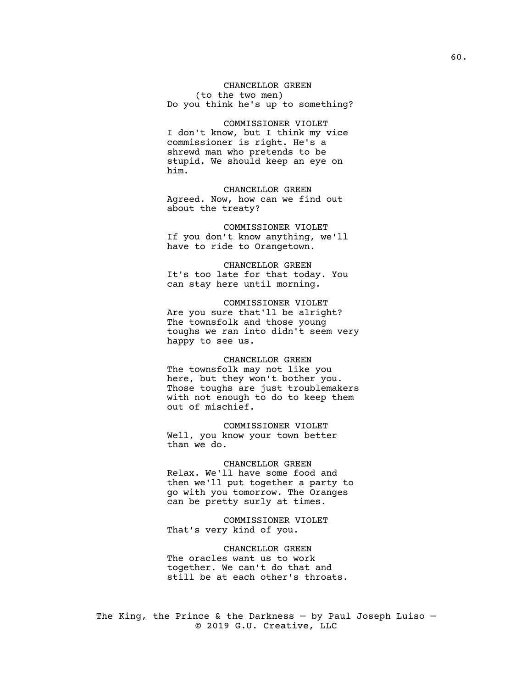CHANCELLOR GREEN (to the two men) Do you think he's up to something?

COMMISSIONER VIOLET I don't know, but I think my vice commissioner is right. He's a shrewd man who pretends to be stupid. We should keep an eye on him.

CHANCELLOR GREEN Agreed. Now, how can we find out about the treaty?

COMMISSIONER VIOLET If you don't know anything, we'll have to ride to Orangetown.

CHANCELLOR GREEN It's too late for that today. You can stay here until morning.

COMMISSIONER VIOLET Are you sure that'll be alright? The townsfolk and those young toughs we ran into didn't seem very happy to see us.

### CHANCELLOR GREEN

The townsfolk may not like you here, but they won't bother you. Those toughs are just troublemakers with not enough to do to keep them out of mischief.

COMMISSIONER VIOLET Well, you know your town better than we do.

### CHANCELLOR GREEN

Relax. We'll have some food and then we'll put together a party to go with you tomorrow. The Oranges can be pretty surly at times.

COMMISSIONER VIOLET That's very kind of you.

CHANCELLOR GREEN The oracles want us to work together. We can't do that and still be at each other's throats.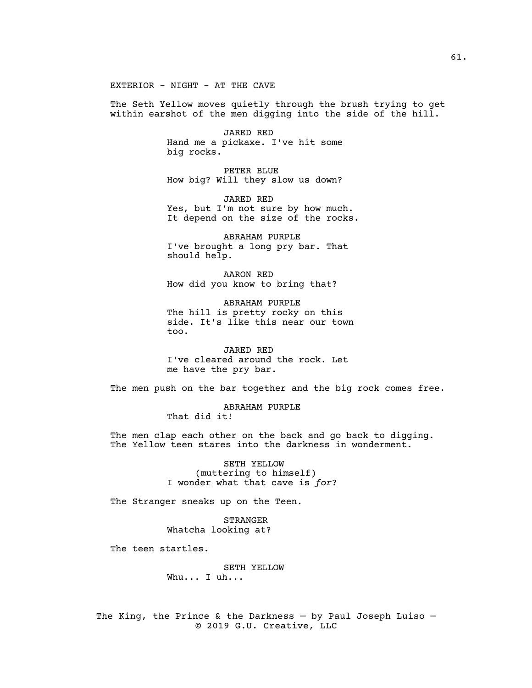EXTERIOR - NIGHT - AT THE CAVE

The Seth Yellow moves quietly through the brush trying to get within earshot of the men digging into the side of the hill.

> JARED RED Hand me a pickaxe. I've hit some big rocks.

> PETER BLUE How big? Will they slow us down?

JARED RED Yes, but I'm not sure by how much. It depend on the size of the rocks.

ABRAHAM PURPLE I've brought a long pry bar. That should help.

AARON RED How did you know to bring that?

ABRAHAM PURPLE The hill is pretty rocky on this side. It's like this near our town too.

JARED RED I've cleared around the rock. Let me have the pry bar.

The men push on the bar together and the big rock comes free.

ABRAHAM PURPLE That did it!

The men clap each other on the back and go back to digging. The Yellow teen stares into the darkness in wonderment.

> SETH YELLOW (muttering to himself) I wonder what that cave is *for*?

The Stranger sneaks up on the Teen.

STRANGER Whatcha looking at?

The teen startles.

SETH YELLOW Whu... I uh...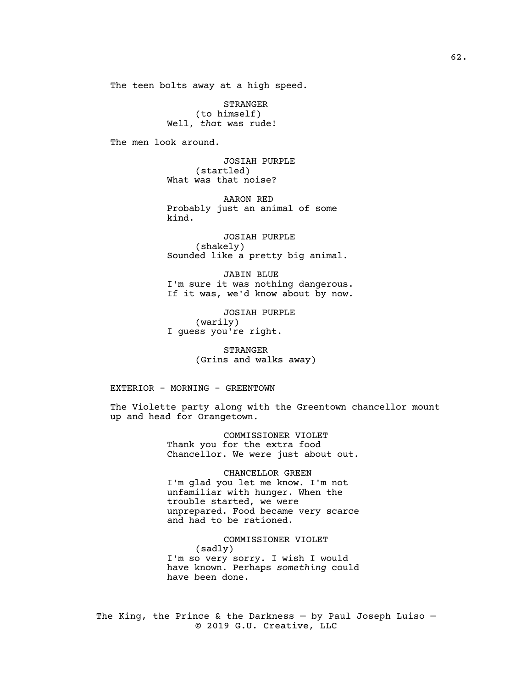The teen bolts away at a high speed.

STRANGER (to himself) Well, *that* was rude!

The men look around.

JOSIAH PURPLE (startled) What was that noise?

AARON RED Probably just an animal of some kind.

JOSIAH PURPLE (shakely) Sounded like a pretty big animal.

JABIN BLUE I'm sure it was nothing dangerous. If it was, we'd know about by now.

JOSIAH PURPLE (warily) I guess you're right.

> STRANGER (Grins and walks away)

EXTERIOR - MORNING - GREENTOWN

The Violette party along with the Greentown chancellor mount up and head for Orangetown.

> COMMISSIONER VIOLET Thank you for the extra food Chancellor. We were just about out.

> CHANCELLOR GREEN I'm glad you let me know. I'm not unfamiliar with hunger. When the trouble started, we were unprepared. Food became very scarce and had to be rationed.

> COMMISSIONER VIOLET (sadly) I'm so very sorry. I wish I would have known. Perhaps *something* could have been done.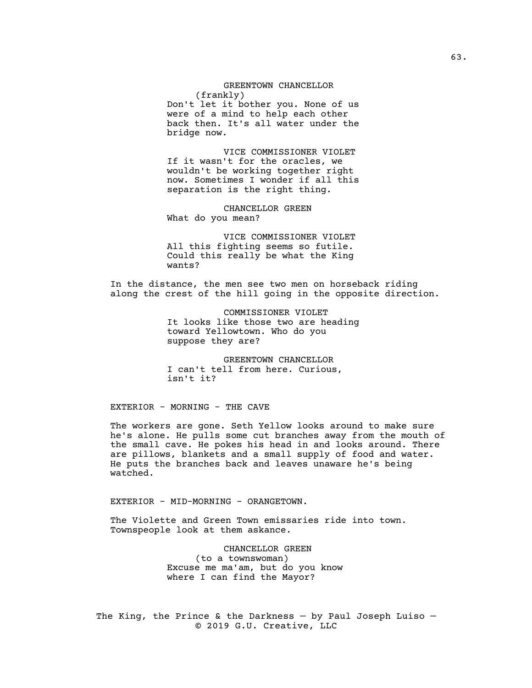# GREENTOWN CHANCELLOR (frankly)

Don't let it bother you. None of us were of a mind to help each other back then. It's all water under the bridge now.

VICE COMMISSIONER VIOLET If it wasn't for the oracles, we wouldn't be working together right now. Sometimes I wonder if all this separation is the right thing.

CHANCELLOR GREEN What do you mean?

VICE COMMISSIONER VIOLET All this fighting seems so futile. Could this really be what the King wants?

In the distance, the men see two men on horseback riding along the crest of the hill going in the opposite direction.

> COMMISSIONER VIOLET It looks like those two are heading toward Yellowtown. Who do you suppose they are?

GREENTOWN CHANCELLOR I can't tell from here. Curious, isn't it?

EXTERIOR - MORNING - THE CAVE

The workers are gone. Seth Yellow looks around to make sure he's alone. He pulls some cut branches away from the mouth of the small cave. He pokes his head in and looks around. There are pillows, blankets and a small supply of food and water. He puts the branches back and leaves unaware he's being watched.

EXTERIOR - MID-MORNING - ORANGETOWN.

The Violette and Green Town emissaries ride into town. Townspeople look at them askance.

> CHANCELLOR GREEN (to a townswoman) Excuse me ma'am, but do you know where I can find the Mayor?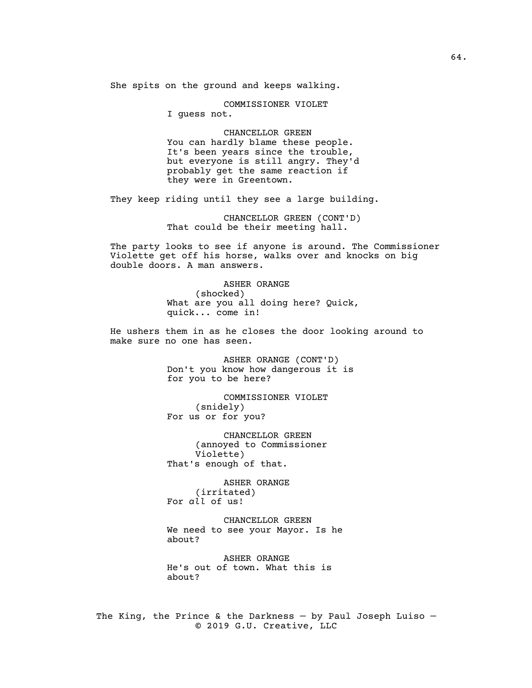She spits on the ground and keeps walking.

COMMISSIONER VIOLET

I guess not.

CHANCELLOR GREEN You can hardly blame these people. It's been years since the trouble, but everyone is still angry. They'd probably get the same reaction if they were in Greentown.

They keep riding until they see a large building.

CHANCELLOR GREEN (CONT'D) That could be their meeting hall.

The party looks to see if anyone is around. The Commissioner Violette get off his horse, walks over and knocks on big double doors. A man answers.

> ASHER ORANGE (shocked) What are you all doing here? Quick, quick... come in!

He ushers them in as he closes the door looking around to make sure no one has seen.

> ASHER ORANGE (CONT'D) Don't you know how dangerous it is for you to be here?

COMMISSIONER VIOLET (snidely) For us or for you?

CHANCELLOR GREEN (annoyed to Commissioner Violette) That's enough of that.

ASHER ORANGE (irritated) For *all* of us!

CHANCELLOR GREEN We need to see your Mayor. Is he about?

ASHER ORANGE He's out of town. What this is about?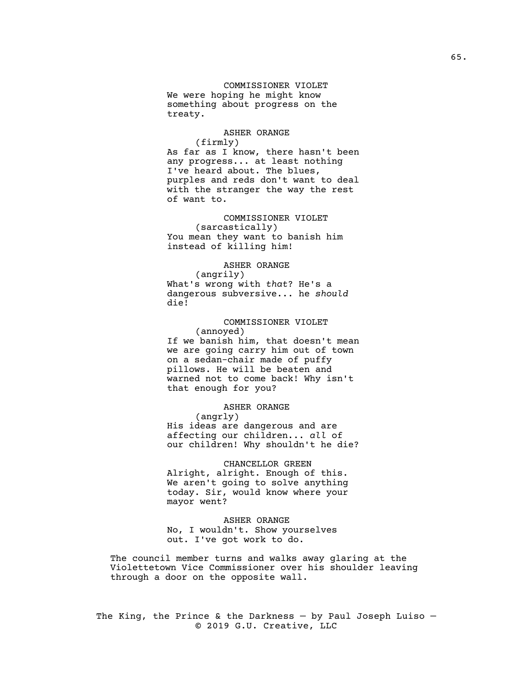# COMMISSIONER VIOLET We were hoping he might know something about progress on the treaty.

#### ASHER ORANGE

(firmly) As far as I know, there hasn't been any progress... at least nothing I've heard about. The blues, purples and reds don't want to deal with the stranger the way the rest of want to.

COMMISSIONER VIOLET (sarcastically) You mean they want to banish him instead of killing him!

# ASHER ORANGE

(angrily) What's wrong with *that*? He's a dangerous subversive... he *should* die!

COMMISSIONER VIOLET (annoyed) If we banish him, that doesn't mean we are going carry him out of town on a sedan-chair made of puffy pillows. He will be beaten and warned not to come back! Why isn't that enough for you?

# ASHER ORANGE

(angrly) His ideas are dangerous and are affecting our children... *all* of our children! Why shouldn't he die?

### CHANCELLOR GREEN

Alright, alright. Enough of this. We aren't going to solve anything today. Sir, would know where your mayor went?

## ASHER ORANGE

No, I wouldn't. Show yourselves out. I've got work to do.

The council member turns and walks away glaring at the Violettetown Vice Commissioner over his shoulder leaving through a door on the opposite wall.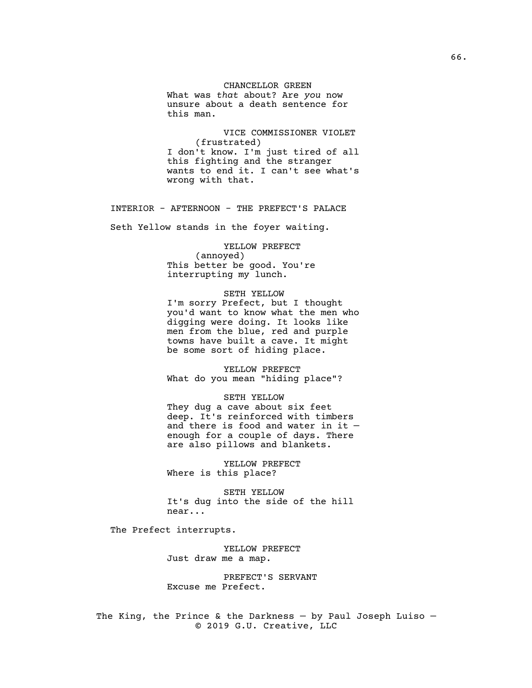# CHANCELLOR GREEN

What was *that* about? Are *you* now unsure about a death sentence for this man.

VICE COMMISSIONER VIOLET (frustrated) I don't know. I'm just tired of all this fighting and the stranger wants to end it. I can't see what's wrong with that.

## INTERIOR - AFTERNOON - THE PREFECT'S PALACE

Seth Yellow stands in the foyer waiting.

# YELLOW PREFECT

(annoyed) This better be good. You're interrupting my lunch.

#### SETH YELLOW

I'm sorry Prefect, but I thought you'd want to know what the men who digging were doing. It looks like men from the blue, red and purple towns have built a cave. It might be some sort of hiding place.

YELLOW PREFECT What do you mean "hiding place"?

SETH YELLOW They dug a cave about six feet deep. It's reinforced with timbers and there is food and water in it enough for a couple of days. There are also pillows and blankets.

YELLOW PREFECT Where is this place?

SETH YELLOW It's dug into the side of the hill near...

The Prefect interrupts.

YELLOW PREFECT Just draw me a map.

PREFECT'S SERVANT Excuse me Prefect.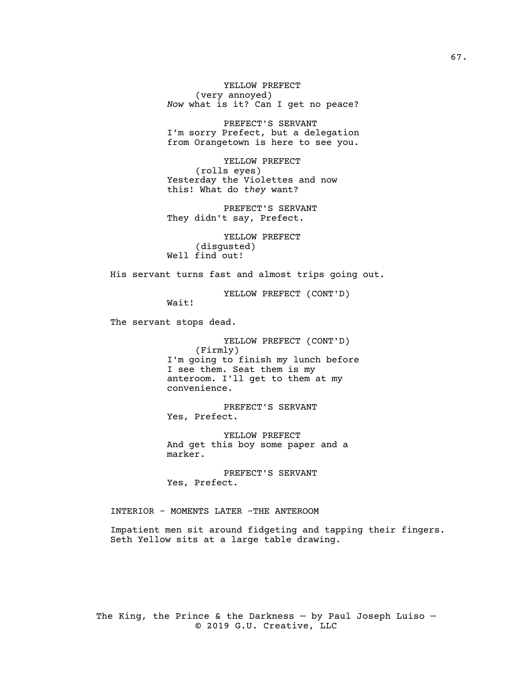YELLOW PREFECT (very annoyed) *Now* what is it? Can I get no peace?

PREFECT'S SERVANT I'm sorry Prefect, but a delegation from Orangetown is here to see you.

YELLOW PREFECT (rolls eyes) Yesterday the Violettes and now this! What do *they* want?

PREFECT'S SERVANT They didn't say, Prefect.

YELLOW PREFECT (disgusted) Well find out!

His servant turns fast and almost trips going out.

YELLOW PREFECT (CONT'D)

Wait!

The servant stops dead.

YELLOW PREFECT (CONT'D) (Firmly) I'm going to finish my lunch before I see them. Seat them is my anteroom. I'll get to them at my convenience.

PREFECT'S SERVANT Yes, Prefect.

YELLOW PREFECT And get this boy some paper and a marker.

PREFECT'S SERVANT Yes, Prefect.

INTERIOR - MOMENTS LATER -THE ANTEROOM

Impatient men sit around fidgeting and tapping their fingers. Seth Yellow sits at a large table drawing.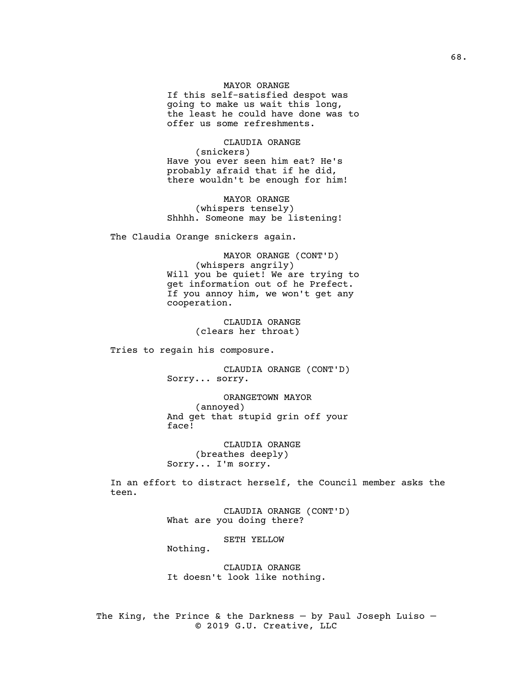# MAYOR ORANGE

If this self-satisfied despot was going to make us wait this long, the least he could have done was to offer us some refreshments.

CLAUDIA ORANGE (snickers) Have you ever seen him eat? He's probably afraid that if he did, there wouldn't be enough for him!

MAYOR ORANGE (whispers tensely) Shhhh. Someone may be listening!

The Claudia Orange snickers again.

MAYOR ORANGE (CONT'D) (whispers angrily) Will you be quiet! We are trying to get information out of he Prefect. If you annoy him, we won't get any cooperation.

> CLAUDIA ORANGE (clears her throat)

Tries to regain his composure.

CLAUDIA ORANGE (CONT'D) Sorry... sorry.

ORANGETOWN MAYOR (annoyed) And get that stupid grin off your face!

CLAUDIA ORANGE (breathes deeply) Sorry... I'm sorry.

In an effort to distract herself, the Council member asks the teen.

> CLAUDIA ORANGE (CONT'D) What are you doing there?

> > SETH YELLOW

Nothing.

CLAUDIA ORANGE It doesn't look like nothing.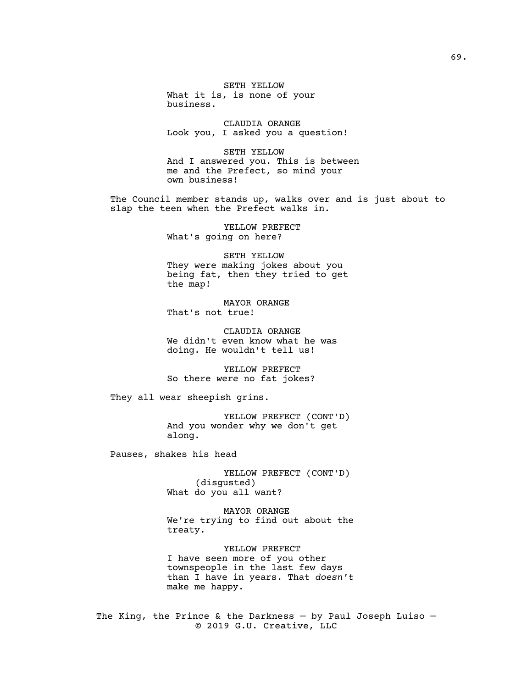SETH YELLOW What it is, is none of your business.

CLAUDIA ORANGE Look you, I asked you a question!

SETH YELLOW And I answered you. This is between me and the Prefect, so mind your own business!

The Council member stands up, walks over and is just about to slap the teen when the Prefect walks in.

> YELLOW PREFECT What's going on here?

SETH YELLOW They were making jokes about you being fat, then they tried to get the map!

MAYOR ORANGE That's not true!

CLAUDIA ORANGE We didn't even know what he was doing. He wouldn't tell us!

YELLOW PREFECT So there *were* no fat jokes?

They all wear sheepish grins.

YELLOW PREFECT (CONT'D) And you wonder why we don't get along.

Pauses, shakes his head

YELLOW PREFECT (CONT'D) (disgusted) What do you all want?

MAYOR ORANGE We're trying to find out about the treaty.

YELLOW PREFECT I have seen more of you other townspeople in the last few days than I have in years. That *doesn't* make me happy.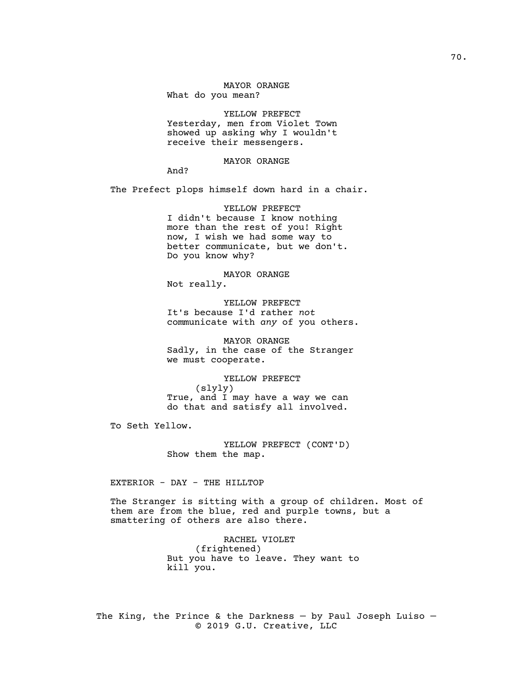# MAYOR ORANGE What do you mean?

YELLOW PREFECT Yesterday, men from Violet Town showed up asking why I wouldn't receive their messengers.

### MAYOR ORANGE

And?

The Prefect plops himself down hard in a chair.

YELLOW PREFECT I didn't because I know nothing more than the rest of you! Right now, I wish we had some way to better communicate, but we don't. Do you know why?

MAYOR ORANGE

Not really.

YELLOW PREFECT It's because I'd rather *not* communicate with *any* of you others.

MAYOR ORANGE Sadly, in the case of the Stranger we must cooperate.

YELLOW PREFECT (slyly) True, and I may have a way we can do that and satisfy all involved.

To Seth Yellow.

YELLOW PREFECT (CONT'D) Show them the map.

EXTERIOR - DAY - THE HILLTOP

The Stranger is sitting with a group of children. Most of them are from the blue, red and purple towns, but a smattering of others are also there.

> RACHEL VIOLET (frightened) But you have to leave. They want to kill you.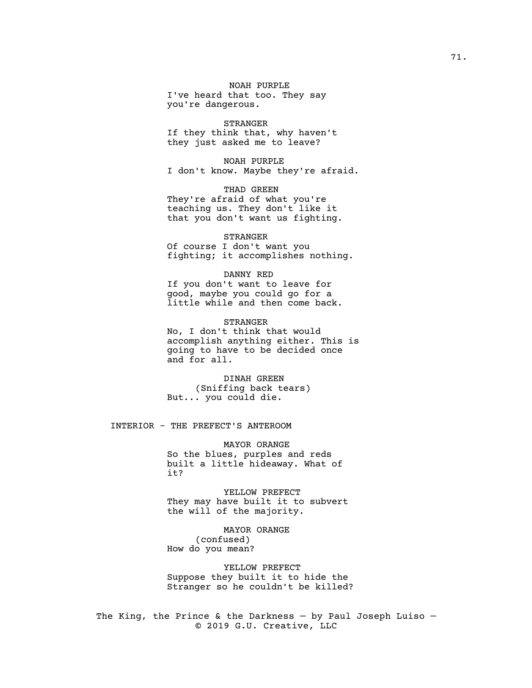NOAH PURPLE I've heard that too. They say you're dangerous.

STRANGER If they think that, why haven't they just asked me to leave?

NOAH PURPLE I don't know. Maybe they're afraid.

THAD GREEN They're afraid of what you're teaching us. They don't like it that you don't want us fighting.

## STRANGER

Of course I don't want you fighting; it accomplishes nothing.

#### DANNY RED

If you don't want to leave for good, maybe you could go for a little while and then come back.

STRANGER No, I don't think that would accomplish anything either. This is going to have to be decided once and for all.

DINAH GREEN (Sniffing back tears) But... you could die.

# INTERIOR - THE PREFECT'S ANTEROOM

MAYOR ORANGE So the blues, purples and reds built a little hideaway. What of it?

YELLOW PREFECT They may have built it to subvert the will of the majority.

MAYOR ORANGE (confused) How do you mean?

YELLOW PREFECT Suppose they built it to hide the Stranger so he couldn't be killed?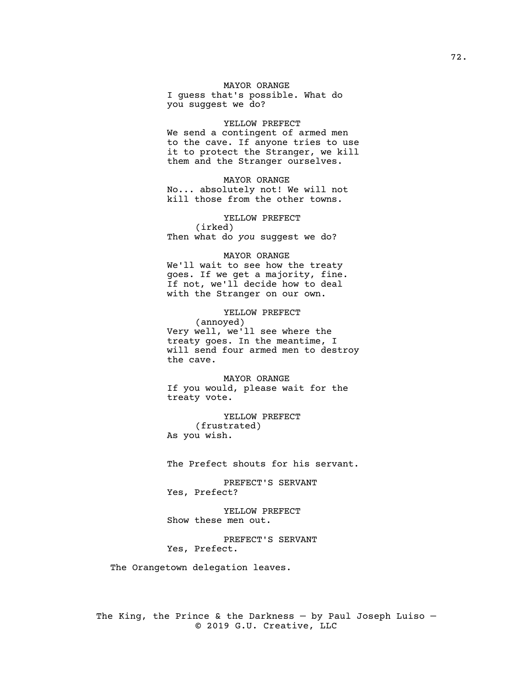MAYOR ORANGE I guess that's possible. What do you suggest we do?

YELLOW PREFECT We send a contingent of armed men to the cave. If anyone tries to use it to protect the Stranger, we kill them and the Stranger ourselves.

MAYOR ORANGE No... absolutely not! We will not kill those from the other towns.

YELLOW PREFECT (irked) Then what do *you* suggest we do?

MAYOR ORANGE We'll wait to see how the treaty goes. If we get a majority, fine. If not, we'll decide how to deal with the Stranger on our own.

YELLOW PREFECT (annoyed) Very well, we'll see where the treaty goes. In the meantime, I will send four armed men to destroy the cave.

MAYOR ORANGE If you would, please wait for the treaty vote.

YELLOW PREFECT (frustrated) As you wish.

The Prefect shouts for his servant.

PREFECT'S SERVANT Yes, Prefect?

YELLOW PREFECT Show these men out.

PREFECT'S SERVANT Yes, Prefect.

The Orangetown delegation leaves.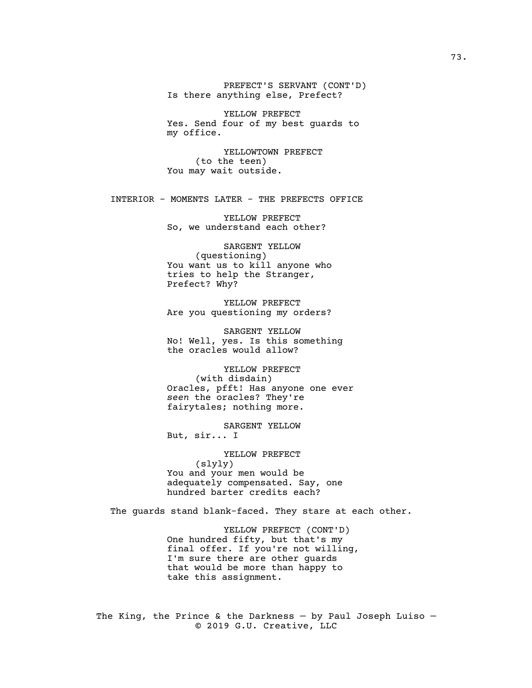PREFECT'S SERVANT (CONT'D) Is there anything else, Prefect?

YELLOW PREFECT Yes. Send four of my best guards to my office.

YELLOWTOWN PREFECT (to the teen) You may wait outside.

INTERIOR - MOMENTS LATER - THE PREFECTS OFFICE

YELLOW PREFECT So, we understand each other?

SARGENT YELLOW (questioning) You want us to kill anyone who tries to help the Stranger, Prefect? Why?

YELLOW PREFECT Are you questioning my orders?

SARGENT YELLOW No! Well, yes. Is this something the oracles would allow?

YELLOW PREFECT (with disdain) Oracles, pfft! Has anyone one ever *seen* the oracles? They're fairytales; nothing more.

SARGENT YELLOW But, sir... I

YELLOW PREFECT (slyly) You and your men would be adequately compensated. Say, one hundred barter credits each?

The guards stand blank-faced. They stare at each other.

YELLOW PREFECT (CONT'D) One hundred fifty, but that's my final offer. If you're not willing, I'm sure there are other guards that would be more than happy to take this assignment.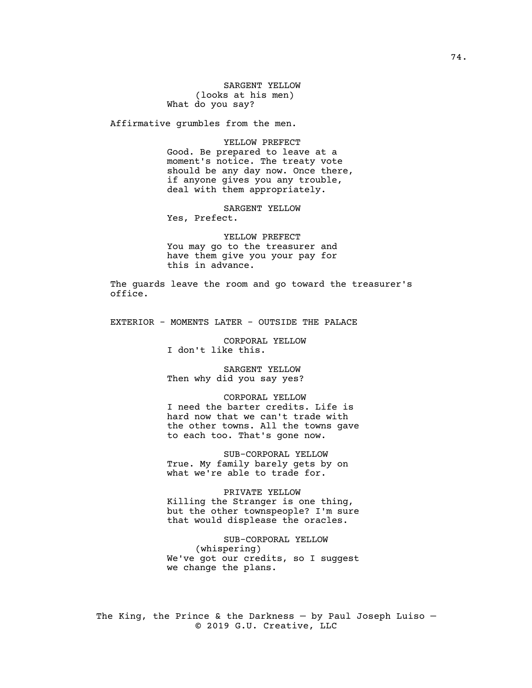SARGENT YELLOW (looks at his men) What do you say?

Affirmative grumbles from the men.

YELLOW PREFECT Good. Be prepared to leave at a moment's notice. The treaty vote should be any day now. Once there, if anyone gives you any trouble, deal with them appropriately.

SARGENT YELLOW Yes, Prefect.

YELLOW PREFECT You may go to the treasurer and have them give you your pay for this in advance.

The guards leave the room and go toward the treasurer's office.

EXTERIOR - MOMENTS LATER - OUTSIDE THE PALACE

CORPORAL YELLOW I don't like this.

SARGENT YELLOW Then why did you say yes?

CORPORAL YELLOW I need the barter credits. Life is hard now that we can't trade with the other towns. All the towns gave to each too. That's gone now.

SUB-CORPORAL YELLOW True. My family barely gets by on what we're able to trade for.

PRIVATE YELLOW Killing the Stranger is one thing, but the other townspeople? I'm sure that would displease the oracles.

SUB-CORPORAL YELLOW (whispering) We've got our credits, so I suggest we change the plans.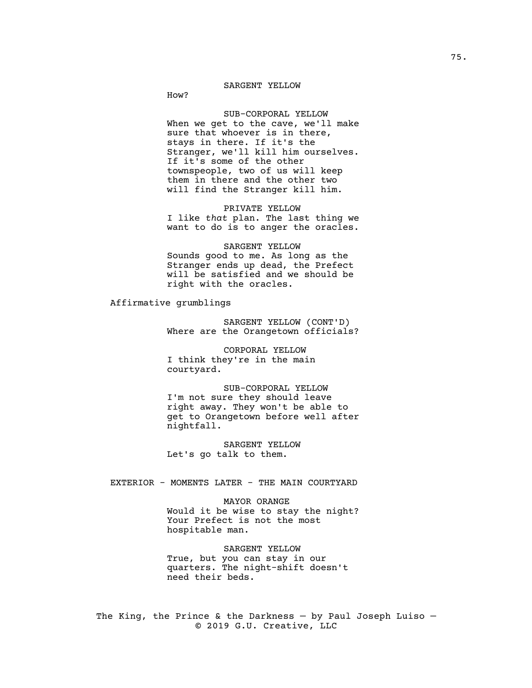## SARGENT YELLOW

How?

#### SUB-CORPORAL YELLOW

When we get to the cave, we'll make sure that whoever is in there, stays in there. If it's the Stranger, we'll kill him ourselves. If it's some of the other townspeople, two of us will keep them in there and the other two will find the Stranger kill him.

PRIVATE YELLOW I like *that* plan. The last thing we want to do is to anger the oracles.

SARGENT YELLOW Sounds good to me. As long as the Stranger ends up dead, the Prefect will be satisfied and we should be right with the oracles.

Affirmative grumblings

SARGENT YELLOW (CONT'D) Where are the Orangetown officials?

CORPORAL YELLOW I think they're in the main courtyard.

SUB-CORPORAL YELLOW I'm not sure they should leave right away. They won't be able to get to Orangetown before well after nightfall.

SARGENT YELLOW Let's go talk to them.

EXTERIOR - MOMENTS LATER - THE MAIN COURTYARD

MAYOR ORANGE Would it be wise to stay the night? Your Prefect is not the most hospitable man.

SARGENT YELLOW True, but you can stay in our quarters. The night-shift doesn't need their beds.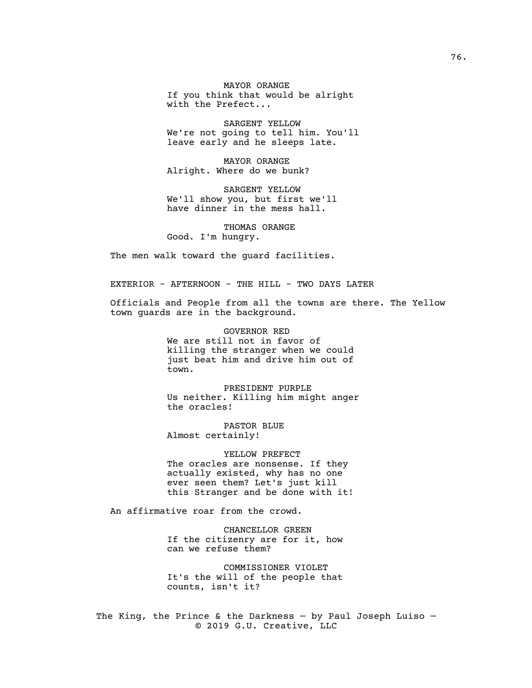MAYOR ORANGE If you think that would be alright with the Prefect...

SARGENT YELLOW We're not going to tell him. You'll leave early and he sleeps late.

MAYOR ORANGE Alright. Where do we bunk?

SARGENT YELLOW We'll show you, but first we'll have dinner in the mess hall.

THOMAS ORANGE Good. I'm hungry.

The men walk toward the guard facilities.

EXTERIOR - AFTERNOON - THE HILL - TWO DAYS LATER

Officials and People from all the towns are there. The Yellow town guards are in the background.

> GOVERNOR RED We are still not in favor of killing the stranger when we could just beat him and drive him out of town.

PRESIDENT PURPLE Us neither. Killing him might anger the oracles!

PASTOR BLUE Almost certainly!

YELLOW PREFECT The oracles are nonsense. If they actually existed, why has no one ever seen them? Let's just kill this Stranger and be done with it!

An affirmative roar from the crowd.

CHANCELLOR GREEN If the citizenry are for it, how can we refuse them?

COMMISSIONER VIOLET It's the will of the people that counts, isn't it?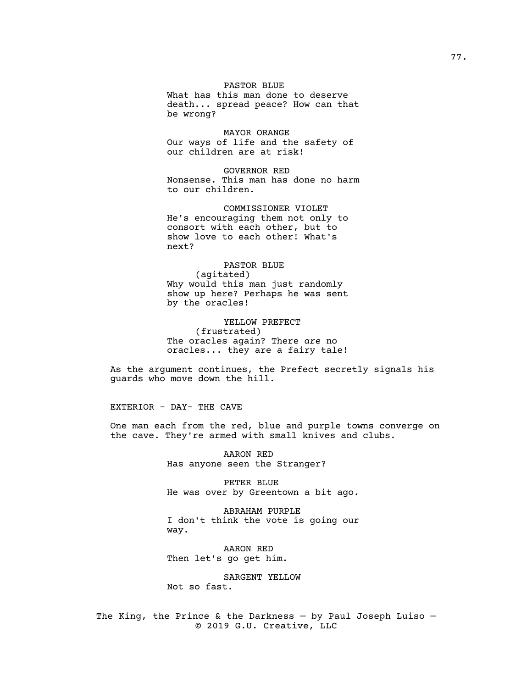## PASTOR BLUE

What has this man done to deserve death... spread peace? How can that be wrong?

MAYOR ORANGE Our ways of life and the safety of our children are at risk!

GOVERNOR RED Nonsense. This man has done no harm to our children.

COMMISSIONER VIOLET He's encouraging them not only to consort with each other, but to show love to each other! What's next?

PASTOR BLUE (agitated) Why would this man just randomly show up here? Perhaps he was sent by the oracles!

YELLOW PREFECT (frustrated) The oracles again? There *are* no oracles... they are a fairy tale!

As the argument continues, the Prefect secretly signals his guards who move down the hill.

EXTERIOR - DAY- THE CAVE

One man each from the red, blue and purple towns converge on the cave. They're armed with small knives and clubs.

> AARON RED Has anyone seen the Stranger?

PETER BLUE He was over by Greentown a bit ago.

ABRAHAM PURPLE I don't think the vote is going our way.

AARON RED Then let's go get him.

SARGENT YELLOW Not so fast.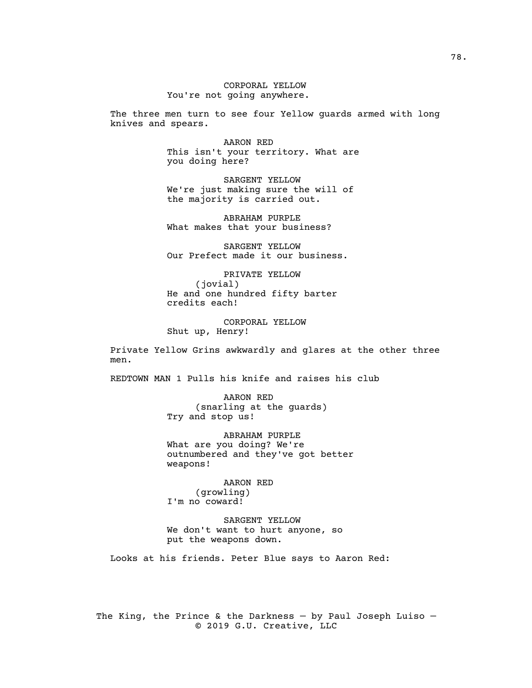CORPORAL YELLOW You're not going anywhere.

The three men turn to see four Yellow guards armed with long knives and spears.

> AARON RED This isn't your territory. What are you doing here?

SARGENT YELLOW We're just making sure the will of the majority is carried out.

ABRAHAM PURPLE What makes that your business?

SARGENT YELLOW Our Prefect made it our business.

PRIVATE YELLOW (jovial) He and one hundred fifty barter credits each!

CORPORAL YELLOW Shut up, Henry!

Private Yellow Grins awkwardly and glares at the other three men.

REDTOWN MAN 1 Pulls his knife and raises his club

AARON RED (snarling at the guards) Try and stop us!

ABRAHAM PURPLE What are you doing? We're outnumbered and they've got better weapons!

> AARON RED (growling)

I'm no coward!

SARGENT YELLOW We don't want to hurt anyone, so put the weapons down.

Looks at his friends. Peter Blue says to Aaron Red: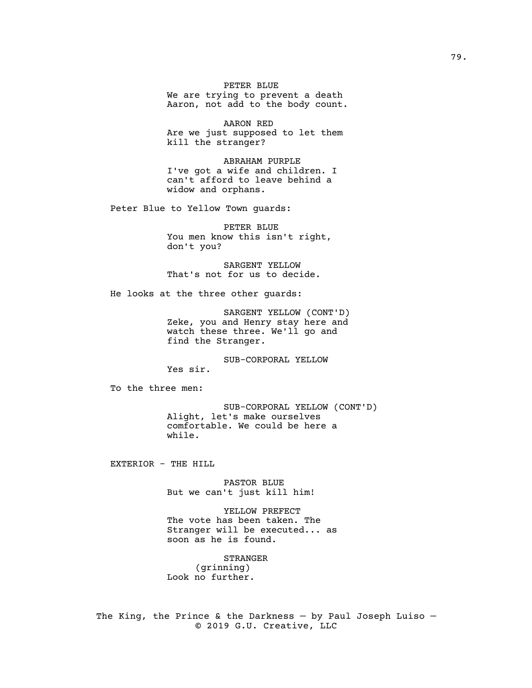PETER BLUE We are trying to prevent a death Aaron, not add to the body count.

AARON RED Are we just supposed to let them kill the stranger?

ABRAHAM PURPLE I've got a wife and children. I can't afford to leave behind a widow and orphans.

Peter Blue to Yellow Town guards:

PETER BLUE You men know this isn't right, don't you?

SARGENT YELLOW That's not for us to decide.

He looks at the three other guards:

SARGENT YELLOW (CONT'D) Zeke, you and Henry stay here and watch these three. We'll go and find the Stranger.

SUB-CORPORAL YELLOW

Yes sir.

To the three men:

SUB-CORPORAL YELLOW (CONT'D) Alight, let's make ourselves comfortable. We could be here a while.

EXTERIOR - THE HILL

PASTOR BLUE But we can't just kill him!

YELLOW PREFECT The vote has been taken. The Stranger will be executed... as soon as he is found.

STRANGER (grinning) Look no further.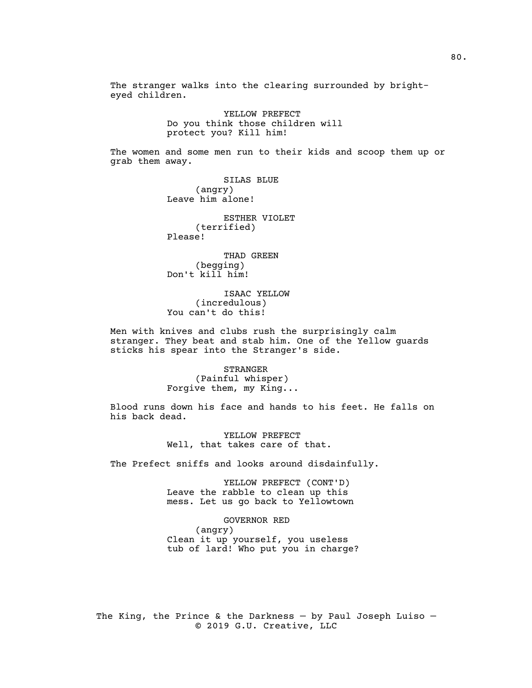The stranger walks into the clearing surrounded by brighteyed children.

> YELLOW PREFECT Do you think those children will protect you? Kill him!

The women and some men run to their kids and scoop them up or grab them away.

> SILAS BLUE (angry) Leave him alone!

ESTHER VIOLET (terrified) Please!

THAD GREEN (begging) Don't kill him!

ISAAC YELLOW (incredulous) You can't do this!

Men with knives and clubs rush the surprisingly calm stranger. They beat and stab him. One of the Yellow guards sticks his spear into the Stranger's side.

> STRANGER (Painful whisper) Forgive them, my King...

Blood runs down his face and hands to his feet. He falls on his back dead.

> YELLOW PREFECT Well, that takes care of that.

The Prefect sniffs and looks around disdainfully.

YELLOW PREFECT (CONT'D) Leave the rabble to clean up this mess. Let us go back to Yellowtown

GOVERNOR RED

(angry) Clean it up yourself, you useless tub of lard! Who put you in charge?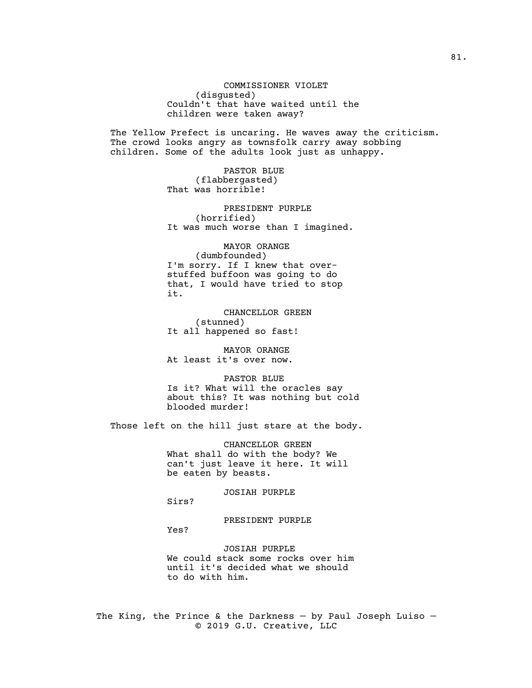COMMISSIONER VIOLET (disgusted) Couldn't that have waited until the children were taken away?

The Yellow Prefect is uncaring. He waves away the criticism. The crowd looks angry as townsfolk carry away sobbing children. Some of the adults look just as unhappy.

> PASTOR BLUE (flabbergasted) That was horrible!

PRESIDENT PURPLE (horrified) It was much worse than I imagined.

MAYOR ORANGE (dumbfounded) I'm sorry. If I knew that overstuffed buffoon was going to do that, I would have tried to stop it.

CHANCELLOR GREEN (stunned) It all happened so fast!

MAYOR ORANGE At least it's over now.

PASTOR BLUE Is it? What will the oracles say about this? It was nothing but cold blooded murder!

Those left on the hill just stare at the body.

CHANCELLOR GREEN What shall do with the body? We can't just leave it here. It will be eaten by beasts.

JOSIAH PURPLE Sirs?

Yes?

PRESIDENT PURPLE

JOSIAH PURPLE We could stack some rocks over him until it's decided what we should to do with him.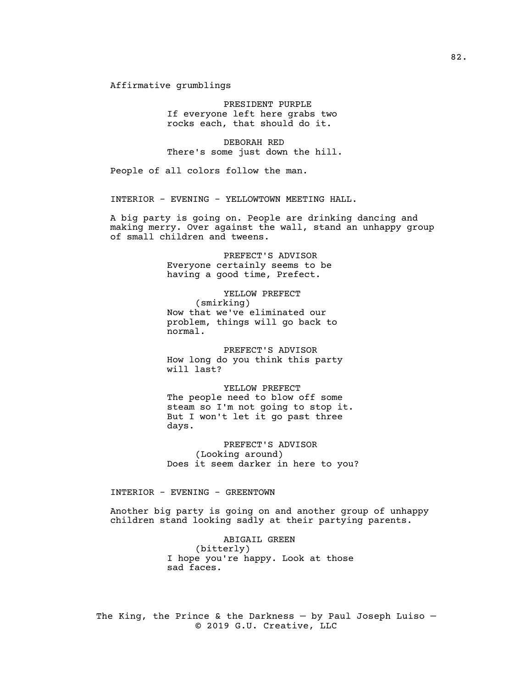Affirmative grumblings

PRESIDENT PURPLE If everyone left here grabs two rocks each, that should do it.

DEBORAH RED There's some just down the hill.

People of all colors follow the man.

INTERIOR - EVENING - YELLOWTOWN MEETING HALL.

A big party is going on. People are drinking dancing and making merry. Over against the wall, stand an unhappy group of small children and tweens.

> PREFECT'S ADVISOR Everyone certainly seems to be having a good time, Prefect.

YELLOW PREFECT (smirking) Now that we've eliminated our problem, things will go back to normal.

PREFECT'S ADVISOR How long do you think this party will last?

YELLOW PREFECT The people need to blow off some steam so I'm not going to stop it. But I won't let it go past three days.

PREFECT'S ADVISOR (Looking around) Does it seem darker in here to you?

INTERIOR - EVENING - GREENTOWN

Another big party is going on and another group of unhappy children stand looking sadly at their partying parents.

> ABIGAIL GREEN (bitterly) I hope you're happy. Look at those sad faces.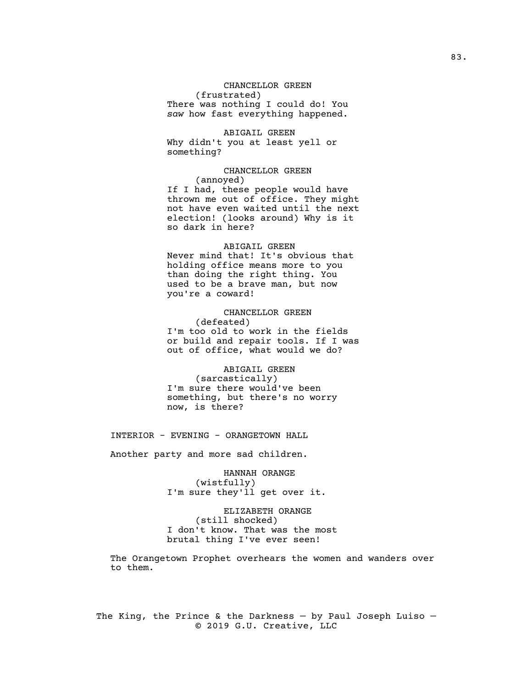## CHANCELLOR GREEN

(frustrated)

There was nothing I could do! You *saw* how fast everything happened.

ABIGAIL GREEN Why didn't you at least yell or something?

CHANCELLOR GREEN (annoyed) If I had, these people would have thrown me out of office. They might not have even waited until the next election! (looks around) Why is it so dark in here?

### ABIGAIL GREEN

Never mind that! It's obvious that holding office means more to you than doing the right thing. You used to be a brave man, but now you're a coward!

CHANCELLOR GREEN (defeated) I'm too old to work in the fields or build and repair tools. If I was out of office, what would we do?

ABIGAIL GREEN (sarcastically) I'm sure there would've been something, but there's no worry now, is there?

INTERIOR - EVENING - ORANGETOWN HALL

Another party and more sad children.

HANNAH ORANGE (wistfully) I'm sure they'll get over it.

ELIZABETH ORANGE (still shocked) I don't know. That was the most brutal thing I've ever seen!

The Orangetown Prophet overhears the women and wanders over to them.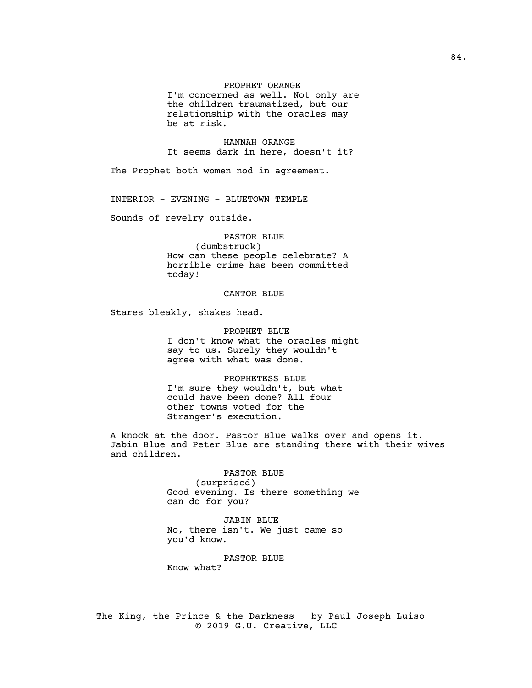# PROPHET ORANGE

I'm concerned as well. Not only are the children traumatized, but our relationship with the oracles may be at risk.

HANNAH ORANGE It seems dark in here, doesn't it?

The Prophet both women nod in agreement.

INTERIOR - EVENING - BLUETOWN TEMPLE

Sounds of revelry outside.

PASTOR BLUE (dumbstruck) How can these people celebrate? A horrible crime has been committed today!

#### CANTOR BLUE

Stares bleakly, shakes head.

PROPHET BLUE I don't know what the oracles might say to us. Surely they wouldn't agree with what was done.

PROPHETESS BLUE I'm sure they wouldn't, but what could have been done? All four other towns voted for the Stranger's execution.

A knock at the door. Pastor Blue walks over and opens it. Jabin Blue and Peter Blue are standing there with their wives and children.

> PASTOR BLUE (surprised) Good evening. Is there something we can do for you?

JABIN BLUE No, there isn't. We just came so you'd know.

PASTOR BLUE

Know what?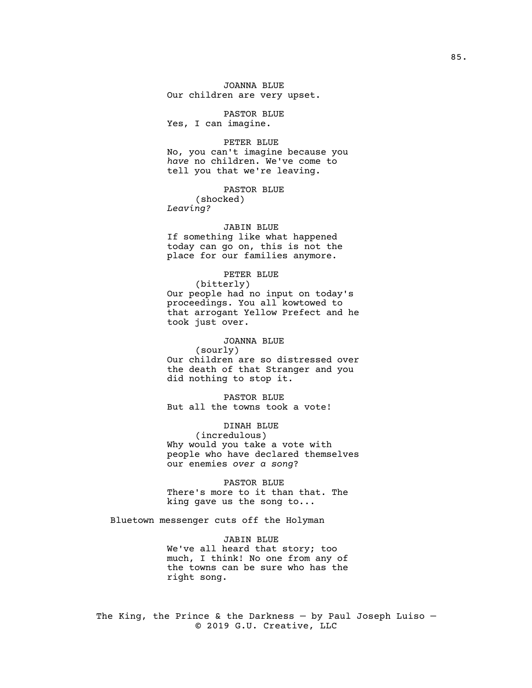JOANNA BLUE Our children are very upset.

PASTOR BLUE Yes, I can imagine.

PETER BLUE No, you can't imagine because you *have* no children. We've come to tell you that we're leaving.

PASTOR BLUE (shocked) *Leaving?*

#### JABIN BLUE

If something like what happened today can go on, this is not the place for our families anymore.

## PETER BLUE

(bitterly) Our people had no input on today's proceedings. You all kowtowed to that arrogant Yellow Prefect and he took just over.

#### JOANNA BLUE

(sourly) Our children are so distressed over the death of that Stranger and you did nothing to stop it.

PASTOR BLUE But all the towns took a vote!

DINAH BLUE (incredulous) Why would you take a vote with people who have declared themselves our enemies *over a song*?

PASTOR BLUE There's more to it than that. The king gave us the song to...

Bluetown messenger cuts off the Holyman

JABIN BLUE We've all heard that story; too much, I think! No one from any of the towns can be sure who has the right song.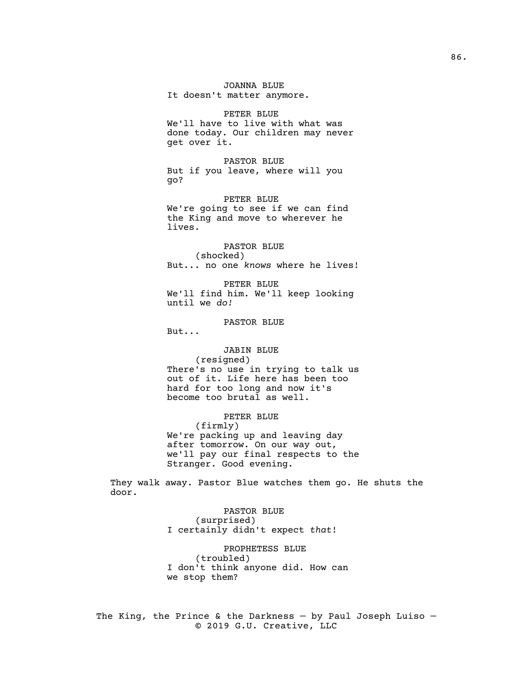JOANNA BLUE It doesn't matter anymore.

PETER BLUE We'll have to live with what was done today. Our children may never get over it.

PASTOR BLUE But if you leave, where will you go?

PETER BLUE We're going to see if we can find the King and move to wherever he lives.

PASTOR BLUE (shocked) But... no one *knows* where he lives!

PETER BLUE We'll find him. We'll keep looking until we *do!*

PASTOR BLUE

But...

JABIN BLUE (resigned) There's no use in trying to talk us out of it. Life here has been too hard for too long and now it's become too brutal as well.

PETER BLUE (firmly) We're packing up and leaving day after tomorrow. On our way out, we'll pay our final respects to the Stranger. Good evening.

They walk away. Pastor Blue watches them go. He shuts the door.

> PASTOR BLUE (surprised) I certainly didn't expect *that*!

PROPHETESS BLUE (troubled) I don't think anyone did. How can we stop them?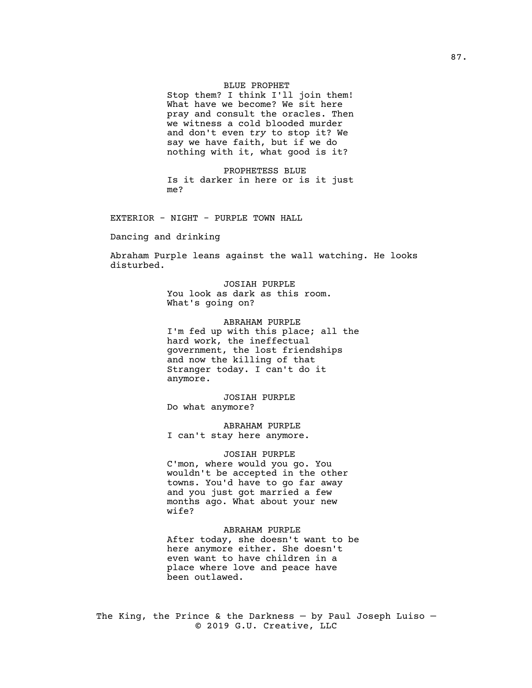### BLUE PROPHET

Stop them? I think I'll join them! What have we become? We sit here pray and consult the oracles. Then we witness a cold blooded murder and don't even *try* to stop it? We say we have faith, but if we do nothing with it, what good is it?

PROPHETESS BLUE Is it darker in here or is it just me?

EXTERIOR - NIGHT - PURPLE TOWN HALL

Dancing and drinking

Abraham Purple leans against the wall watching. He looks disturbed.

> JOSIAH PURPLE You look as dark as this room. What's going on?

ABRAHAM PURPLE I'm fed up with this place; all the hard work, the ineffectual government, the lost friendships and now the killing of that Stranger today. I can't do it anymore.

JOSIAH PURPLE Do what anymore?

ABRAHAM PURPLE I can't stay here anymore.

JOSIAH PURPLE C'mon, where would you go. You wouldn't be accepted in the other towns. You'd have to go far away and you just got married a few months ago. What about your new wife?

ABRAHAM PURPLE After today, she doesn't want to be here anymore either. She doesn't even want to have children in a place where love and peace have been outlawed.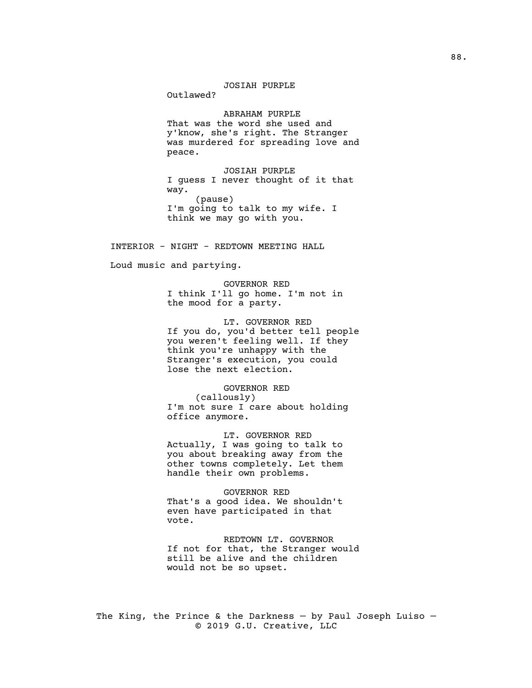# JOSIAH PURPLE

Outlawed?

ABRAHAM PURPLE That was the word she used and y'know, she's right. The Stranger was murdered for spreading love and peace.

JOSIAH PURPLE I guess I never thought of it that way. (pause) I'm going to talk to my wife. I think we may go with you.

INTERIOR - NIGHT - REDTOWN MEETING HALL

Loud music and partying.

GOVERNOR RED I think I'll go home. I'm not in the mood for a party.

LT. GOVERNOR RED If you do, you'd better tell people you weren't feeling well. If they think you're unhappy with the Stranger's execution, you could lose the next election.

GOVERNOR RED (callously) I'm not sure I care about holding office anymore.

LT. GOVERNOR RED Actually, I was going to talk to you about breaking away from the other towns completely. Let them handle their own problems.

GOVERNOR RED That's a good idea. We shouldn't even have participated in that vote.

REDTOWN LT. GOVERNOR If not for that, the Stranger would still be alive and the children would not be so upset.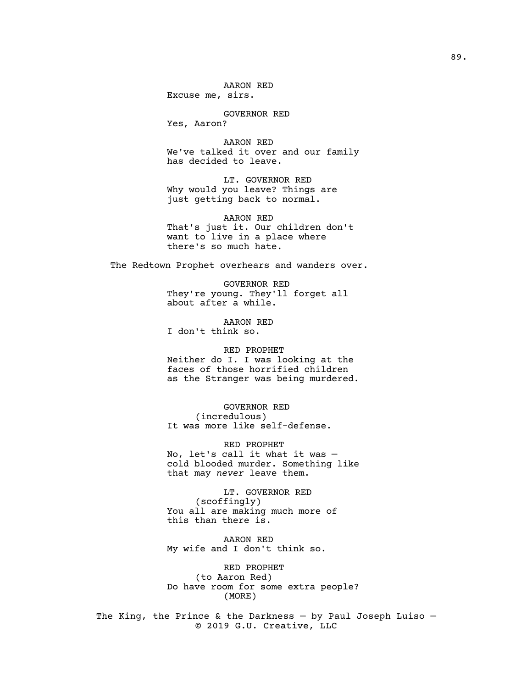AARON RED Excuse me, sirs.

GOVERNOR RED

Yes, Aaron?

AARON RED We've talked it over and our family has decided to leave.

LT. GOVERNOR RED Why would you leave? Things are just getting back to normal.

AARON RED That's just it. Our children don't want to live in a place where there's so much hate.

The Redtown Prophet overhears and wanders over.

GOVERNOR RED They're young. They'll forget all about after a while.

AARON RED I don't think so.

# RED PROPHET

Neither do I. I was looking at the faces of those horrified children as the Stranger was being murdered.

GOVERNOR RED (incredulous) It was more like self-defense.

RED PROPHET No, let's call it what it was cold blooded murder. Something like that may *never* leave them.

LT. GOVERNOR RED (scoffingly) You all are making much more of this than there is.

AARON RED My wife and I don't think so.

RED PROPHET (to Aaron Red) Do have room for some extra people? (MORE)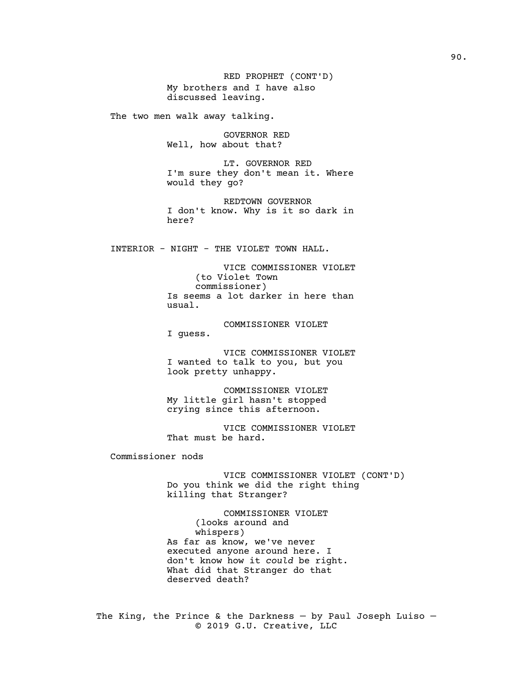RED PROPHET (CONT'D) My brothers and I have also discussed leaving.

The two men walk away talking.

GOVERNOR RED Well, how about that?

LT. GOVERNOR RED I'm sure they don't mean it. Where would they go?

REDTOWN GOVERNOR I don't know. Why is it so dark in here?

INTERIOR - NIGHT - THE VIOLET TOWN HALL.

VICE COMMISSIONER VIOLET (to Violet Town commissioner) Is seems a lot darker in here than usual.

COMMISSIONER VIOLET I guess.

VICE COMMISSIONER VIOLET I wanted to talk to you, but you look pretty unhappy.

COMMISSIONER VIOLET My little girl hasn't stopped crying since this afternoon.

VICE COMMISSIONER VIOLET That must be hard.

Commissioner nods

VICE COMMISSIONER VIOLET (CONT'D) Do you think we did the right thing killing that Stranger?

COMMISSIONER VIOLET (looks around and whispers) As far as know, we've never executed anyone around here. I don't know how it *could* be right. What did that Stranger do that deserved death?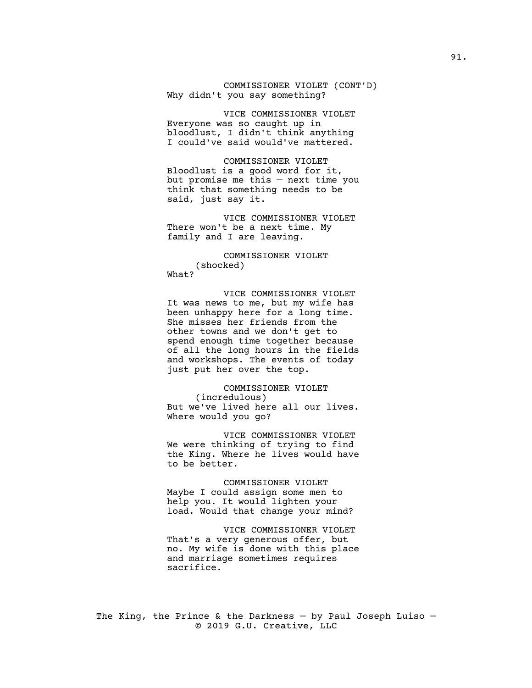COMMISSIONER VIOLET (CONT'D) Why didn't you say something?

VICE COMMISSIONER VIOLET Everyone was so caught up in bloodlust, I didn't think anything I could've said would've mattered.

COMMISSIONER VIOLET Bloodlust is a good word for it, but promise me this — next time you think that something needs to be said, just say it.

VICE COMMISSIONER VIOLET There won't be a next time. My family and I are leaving.

COMMISSIONER VIOLET (shocked) What?

VICE COMMISSIONER VIOLET It was news to me, but my wife has been unhappy here for a long time. She misses her friends from the other towns and we don't get to spend enough time together because of all the long hours in the fields and workshops. The events of today just put her over the top.

COMMISSIONER VIOLET (incredulous) But we've lived here all our lives. Where would you go?

VICE COMMISSIONER VIOLET We were thinking of trying to find the King. Where he lives would have to be better.

COMMISSIONER VIOLET Maybe I could assign some men to help you. It would lighten your load. Would that change your mind?

VICE COMMISSIONER VIOLET That's a very generous offer, but no. My wife is done with this place and marriage sometimes requires sacrifice.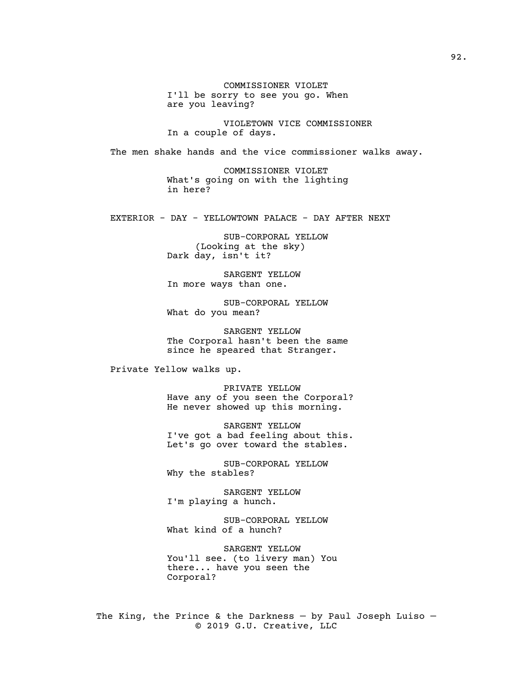COMMISSIONER VIOLET I'll be sorry to see you go. When are you leaving?

VIOLETOWN VICE COMMISSIONER In a couple of days.

The men shake hands and the vice commissioner walks away.

COMMISSIONER VIOLET What's going on with the lighting in here?

EXTERIOR - DAY - YELLOWTOWN PALACE - DAY AFTER NEXT

SUB-CORPORAL YELLOW (Looking at the sky) Dark day, isn't it?

SARGENT YELLOW In more ways than one.

SUB-CORPORAL YELLOW What do you mean?

SARGENT YELLOW The Corporal hasn't been the same since he speared that Stranger.

Private Yellow walks up.

PRIVATE YELLOW Have any of you seen the Corporal? He never showed up this morning.

SARGENT YELLOW I've got a bad feeling about this. Let's go over toward the stables.

SUB-CORPORAL YELLOW Why the stables?

SARGENT YELLOW I'm playing a hunch.

SUB-CORPORAL YELLOW What kind of a hunch?

SARGENT YELLOW You'll see. (to livery man) You there... have you seen the Corporal?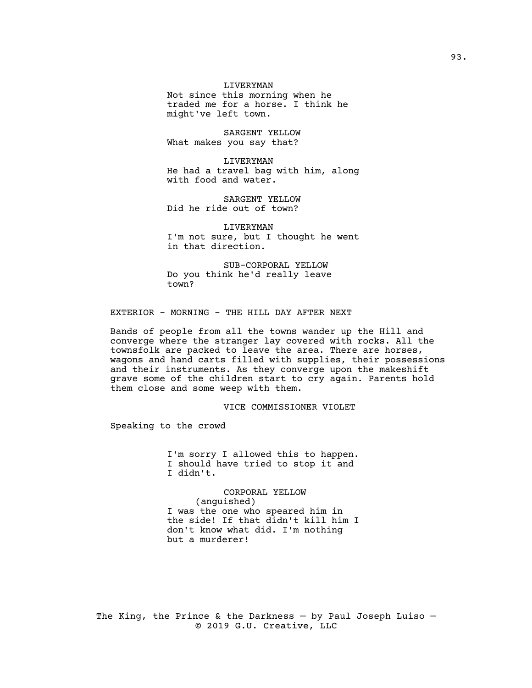LIVERYMAN

Not since this morning when he traded me for a horse. I think he might've left town.

SARGENT YELLOW What makes you say that?

LIVERYMAN He had a travel bag with him, along with food and water.

SARGENT YELLOW Did he ride out of town?

LIVERYMAN I'm not sure, but I thought he went in that direction.

SUB-CORPORAL YELLOW Do you think he'd really leave town?

### EXTERIOR - MORNING - THE HILL DAY AFTER NEXT

Bands of people from all the towns wander up the Hill and converge where the stranger lay covered with rocks. All the townsfolk are packed to leave the area. There are horses, wagons and hand carts filled with supplies, their possessions and their instruments. As they converge upon the makeshift grave some of the children start to cry again. Parents hold them close and some weep with them.

## VICE COMMISSIONER VIOLET

Speaking to the crowd

I'm sorry I allowed this to happen. I should have tried to stop it and I didn't.

CORPORAL YELLOW (anguished) I was the one who speared him in the side! If that didn't kill him I don't know what did. I'm nothing but a murderer!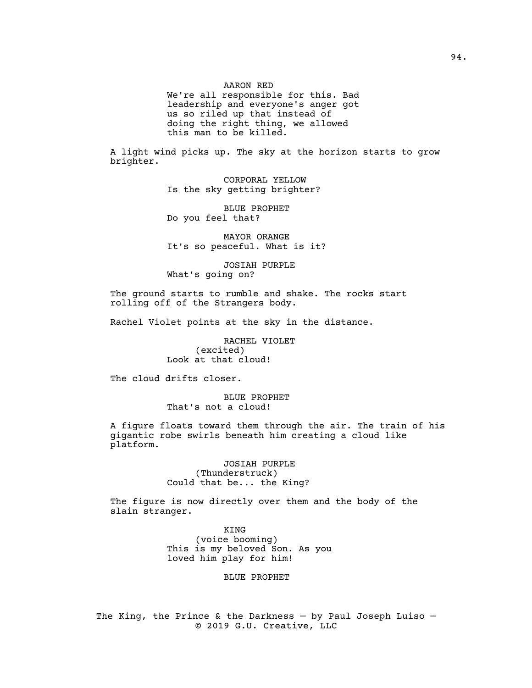AARON RED

We're all responsible for this. Bad leadership and everyone's anger got us so riled up that instead of doing the right thing, we allowed this man to be killed.

A light wind picks up. The sky at the horizon starts to grow brighter.

> CORPORAL YELLOW Is the sky getting brighter?

BLUE PROPHET Do you feel that?

MAYOR ORANGE It's so peaceful. What is it?

JOSIAH PURPLE What's going on?

The ground starts to rumble and shake. The rocks start rolling off of the Strangers body.

Rachel Violet points at the sky in the distance.

RACHEL VIOLET (excited) Look at that cloud!

The cloud drifts closer.

BLUE PROPHET That's not a cloud!

A figure floats toward them through the air. The train of his gigantic robe swirls beneath him creating a cloud like platform.

> JOSIAH PURPLE (Thunderstruck) Could that be... the King?

The figure is now directly over them and the body of the slain stranger.

> KING (voice booming) This is my beloved Son. As you loved him play for him!

> > BLUE PROPHET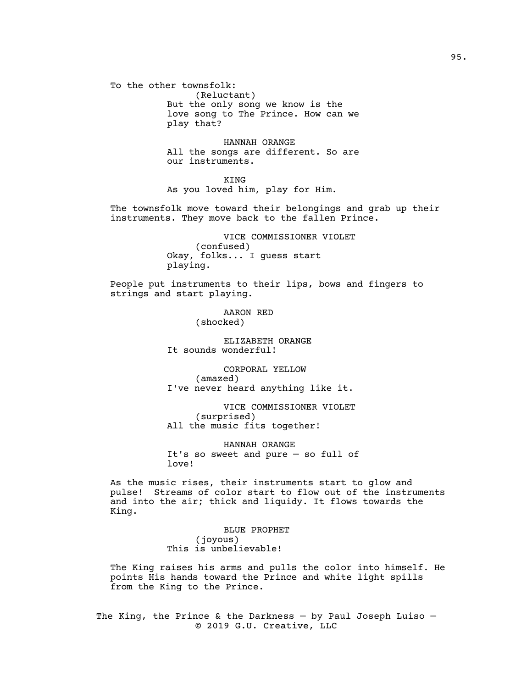To the other townsfolk: (Reluctant) But the only song we know is the love song to The Prince. How can we play that?

> HANNAH ORANGE All the songs are different. So are our instruments.

KING As you loved him, play for Him.

The townsfolk move toward their belongings and grab up their instruments. They move back to the fallen Prince.

> VICE COMMISSIONER VIOLET (confused) Okay, folks... I guess start playing.

People put instruments to their lips, bows and fingers to strings and start playing.

> AARON RED (shocked)

ELIZABETH ORANGE It sounds wonderful!

CORPORAL YELLOW (amazed) I've never heard anything like it.

VICE COMMISSIONER VIOLET (surprised) All the music fits together!

HANNAH ORANGE It's so sweet and pure — so full of love!

As the music rises, their instruments start to glow and pulse! Streams of color start to flow out of the instruments and into the air; thick and liquidy. It flows towards the King.

> BLUE PROPHET (joyous) This is unbelievable!

The King raises his arms and pulls the color into himself. He points His hands toward the Prince and white light spills from the King to the Prince.